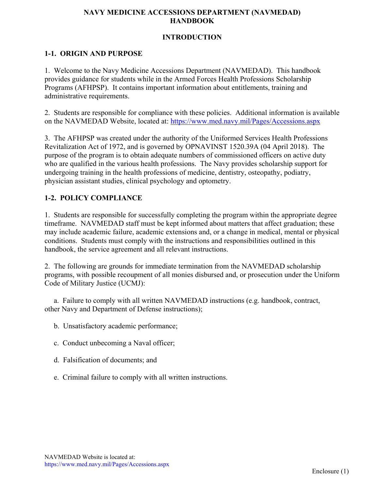# **INTRODUCTION**

# **1-1. ORIGIN AND PURPOSE**

1. Welcome to the Navy Medicine Accessions Department (NAVMEDAD). This handbook provides guidance for students while in the Armed Forces Health Professions Scholarship Programs (AFHPSP). It contains important information about entitlements, training and administrative requirements.

2. Students are responsible for compliance with these policies. Additional information is available on the NAVMEDAD Website, located at:<https://www.med.navy.mil/Pages/Accessions.aspx>

3. The AFHPSP was created under the authority of the Uniformed Services Health Professions Revitalization Act of 1972, and is governed by OPNAVINST 1520.39A (04 April 2018). The purpose of the program is to obtain adequate numbers of commissioned officers on active duty who are qualified in the various health professions. The Navy provides scholarship support for undergoing training in the health professions of medicine, dentistry, osteopathy, podiatry, physician assistant studies, clinical psychology and optometry.

# **1-2. POLICY COMPLIANCE**

1. Students are responsible for successfully completing the program within the appropriate degree timeframe. NAVMEDAD staff must be kept informed about matters that affect graduation; these may include academic failure, academic extensions and, or a change in medical, mental or physical conditions. Students must comply with the instructions and responsibilities outlined in this handbook, the service agreement and all relevant instructions.

2. The following are grounds for immediate termination from the NAVMEDAD scholarship programs, with possible recoupment of all monies disbursed and, or prosecution under the Uniform Code of Military Justice (UCMJ):

 a. Failure to comply with all written NAVMEDAD instructions (e.g. handbook, contract, other Navy and Department of Defense instructions);

- b. Unsatisfactory academic performance;
- c. Conduct unbecoming a Naval officer;
- d. Falsification of documents; and
- e. Criminal failure to comply with all written instructions.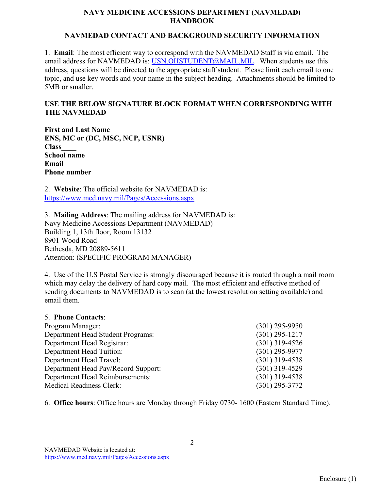#### **NAVMEDAD CONTACT AND BACKGROUND SECURITY INFORMATION**

1. **Email**: The most efficient way to correspond with the NAVMEDAD Staff is via email. The email address for NAVMEDAD is: [USN.OHSTUDENT@MAIL.MIL.](mailto:USN.OHSTUDENT@MAIL.MIL) When students use this address, questions will be directed to the appropriate staff student. Please limit each email to one topic, and use key words and your name in the subject heading. Attachments should be limited to 5MB or smaller.

# **USE THE BELOW SIGNATURE BLOCK FORMAT WHEN CORRESPONDING WITH THE NAVMEDAD**

**First and Last Name ENS, MC or (DC, MSC, NCP, USNR) Class\_\_\_\_ School name Email Phone number**

2. **Website**: The official website for NAVMEDAD is: <https://www.med.navy.mil/Pages/Accessions.aspx>

3. **Mailing Address**: The mailing address for NAVMEDAD is: Navy Medicine Accessions Department (NAVMEDAD) Building 1, 13th floor, Room 13132 8901 Wood Road Bethesda, MD 20889-5611 Attention: (SPECIFIC PROGRAM MANAGER)

4. Use of the U.S Postal Service is strongly discouraged because it is routed through a mail room which may delay the delivery of hard copy mail. The most efficient and effective method of sending documents to NAVMEDAD is to scan (at the lowest resolution setting available) and email them.

#### 5. **Phone Contacts**:

| Program Manager:                    | $(301)$ 295-9950 |
|-------------------------------------|------------------|
| Department Head Student Programs:   | $(301)$ 295-1217 |
| Department Head Registrar:          | $(301)$ 319-4526 |
| Department Head Tuition:            | $(301)$ 295-9977 |
| Department Head Travel:             | $(301)$ 319-4538 |
| Department Head Pay/Record Support: | $(301)$ 319-4529 |
| Department Head Reimbursements:     | $(301)$ 319-4538 |
| <b>Medical Readiness Clerk:</b>     | $(301)$ 295-3772 |

6. **Office hours**: Office hours are Monday through Friday 0730- 1600 (Eastern Standard Time).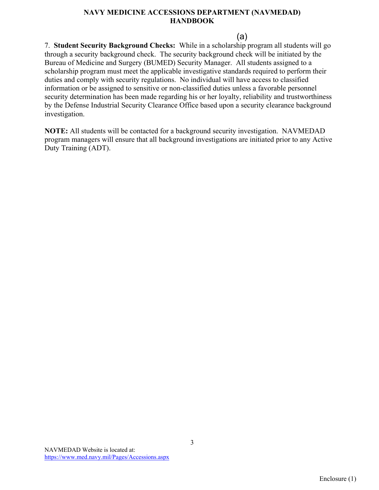(a)

7. **Student Security Background Checks:** While in a scholarship program all students will go through a security background check. The security background check will be initiated by the Bureau of Medicine and Surgery (BUMED) Security Manager. All students assigned to a scholarship program must meet the applicable investigative standards required to perform their duties and comply with security regulations. No individual will have access to classified information or be assigned to sensitive or non-classified duties unless a favorable personnel security determination has been made regarding his or her loyalty, reliability and trustworthiness by the Defense Industrial Security Clearance Office based upon a security clearance background investigation.

**NOTE:** All students will be contacted for a background security investigation. NAVMEDAD program managers will ensure that all background investigations are initiated prior to any Active Duty Training (ADT).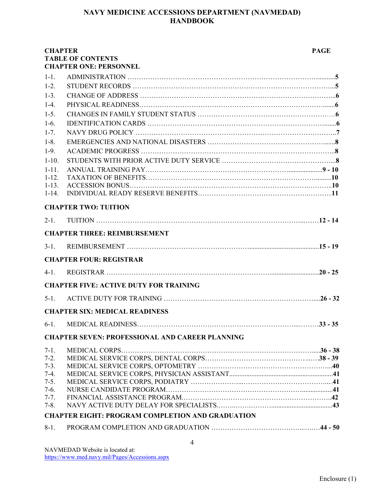| <b>CHAPTER</b>         | <b>TABLE OF CONTENTS</b>                                | <b>PAGE</b> |
|------------------------|---------------------------------------------------------|-------------|
|                        | <b>CHAPTER ONE: PERSONNEL</b>                           |             |
| $1 - 1$ .              |                                                         |             |
| $1-2.$                 |                                                         |             |
| $1 - 3$ .              |                                                         |             |
| $1-4.$                 |                                                         |             |
| $1-5.$                 |                                                         |             |
| $1-6.$                 |                                                         |             |
| $1 - 7$ .              |                                                         |             |
| $1-8.$                 |                                                         |             |
| $1-9.$                 |                                                         |             |
| $1-10.$                |                                                         |             |
| $1 - 11.$<br>$1 - 12.$ |                                                         |             |
| $1 - 13.$              |                                                         |             |
| $1 - 14.$              |                                                         |             |
|                        | <b>CHAPTER TWO: TUITION</b>                             |             |
| $2-1.$                 |                                                         |             |
|                        | <b>CHAPTER THREE: REIMBURSEMENT</b>                     |             |
| $3-1.$                 |                                                         |             |
|                        | <b>CHAPTER FOUR: REGISTRAR</b>                          |             |
| $4-1.$                 |                                                         |             |
|                        | <b>CHAPTER FIVE: ACTIVE DUTY FOR TRAINING</b>           |             |
| $5-1.$                 |                                                         |             |
|                        | <b>CHAPTER SIX: MEDICAL READINESS</b>                   |             |
| $6-1.$                 |                                                         |             |
|                        | <b>CHAPTER SEVEN: PROFESSIONAL AND CAREER PLANNING</b>  |             |
| $7-1.$                 |                                                         |             |
| $7-2.$                 |                                                         |             |
| $7-3.$                 |                                                         |             |
| $7-4.$<br>$7 - 5.$     |                                                         |             |
| $7-6.$                 |                                                         |             |
| $7 - 7.$               |                                                         |             |
| $7 - 8$ .              |                                                         |             |
|                        | <b>CHAPTER EIGHT: PROGRAM COMPLETION AND GRADUATION</b> |             |
| $8-1.$                 |                                                         |             |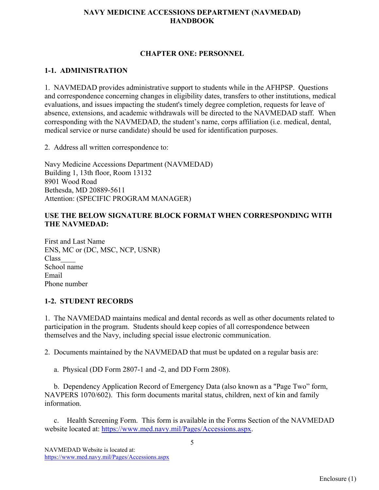#### **CHAPTER ONE: PERSONNEL**

# **1-1. ADMINISTRATION**

1. NAVMEDAD provides administrative support to students while in the AFHPSP. Questions and correspondence concerning changes in eligibility dates, transfers to other institutions, medical evaluations, and issues impacting the student's timely degree completion, requests for leave of absence, extensions, and academic withdrawals will be directed to the NAVMEDAD staff. When corresponding with the NAVMEDAD, the student's name, corps affiliation (i.e. medical, dental, medical service or nurse candidate) should be used for identification purposes.

2. Address all written correspondence to:

Navy Medicine Accessions Department (NAVMEDAD) Building 1, 13th floor, Room 13132 8901 Wood Road Bethesda, MD 20889-5611 Attention: (SPECIFIC PROGRAM MANAGER)

# **USE THE BELOW SIGNATURE BLOCK FORMAT WHEN CORRESPONDING WITH THE NAVMEDAD:**

First and Last Name ENS, MC or (DC, MSC, NCP, USNR) Class\_\_\_\_ School name Email Phone number

# **1-2. STUDENT RECORDS**

1. The NAVMEDAD maintains medical and dental records as well as other documents related to participation in the program. Students should keep copies of all correspondence between themselves and the Navy, including special issue electronic communication.

2. Documents maintained by the NAVMEDAD that must be updated on a regular basis are:

a. Physical (DD Form 2807-1 and -2, and DD Form 2808).

 b. Dependency Application Record of Emergency Data (also known as a "Page Two" form, NAVPERS 1070/602). This form documents marital status, children, next of kin and family information.

 c. Health Screening Form. This form is available in the Forms Section of the NAVMEDAD website located at: [https://www.med.navy.mil/Pages/Accessions.aspx.](https://www.med.navy.mil/Pages/Accessions.aspx)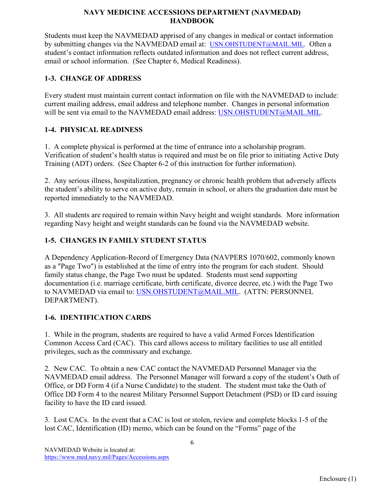Students must keep the NAVMEDAD apprised of any changes in medical or contact information by submitting changes via the NAVMEDAD email at: [USN.OHSTUDENT@MAIL.MIL.](mailto:USN.OHSTUDENT@MAIL.MIL) Often a student's contact information reflects outdated information and does not reflect current address, email or school information. (See Chapter 6, Medical Readiness).

# **1-3. CHANGE OF ADDRESS**

Every student must maintain current contact information on file with the NAVMEDAD to include: current mailing address, email address and telephone number. Changes in personal information will be sent via email to the NAVMEDAD email address: [USN.OHSTUDENT@MAIL.MIL.](mailto:USN.OHSTUDENT@MAIL.MIL)

# **1-4. PHYSICAL READINESS**

1. A complete physical is performed at the time of entrance into a scholarship program. Verification of student's health status is required and must be on file prior to initiating Active Duty Training (ADT) orders. (See Chapter 6-2 of this instruction for further information).

2. Any serious illness, hospitalization, pregnancy or chronic health problem that adversely affects the student's ability to serve on active duty, remain in school, or alters the graduation date must be reported immediately to the NAVMEDAD.

3. All students are required to remain within Navy height and weight standards. More information regarding Navy height and weight standards can be found via the NAVMEDAD website.

# **1-5. CHANGES IN FAMILY STUDENT STATUS**

A Dependency Application-Record of Emergency Data (NAVPERS 1070/602, commonly known as a "Page Two") is established at the time of entry into the program for each student. Should family status change, the Page Two must be updated. Students must send supporting documentation (i.e. marriage certificate, birth certificate, divorce decree, etc.) with the Page Two to NAVMEDAD via email to: [USN.OHSTUDENT@MAIL.MIL.](mailto:USN.OHSTUDENT@MAIL.MIL) (ATTN: PERSONNEL DEPARTMENT).

# **1-6. IDENTIFICATION CARDS**

1. While in the program, students are required to have a valid Armed Forces Identification Common Access Card (CAC). This card allows access to military facilities to use all entitled privileges, such as the commissary and exchange.

2. New CAC. To obtain a new CAC contact the NAVMEDAD Personnel Manager via the NAVMEDAD email address. The Personnel Manager will forward a copy of the student's Oath of Office, or DD Form 4 (if a Nurse Candidate) to the student. The student must take the Oath of Office DD Form 4 to the nearest Military Personnel Support Detachment (PSD) or ID card issuing facility to have the ID card issued.

3. Lost CACs. In the event that a CAC is lost or stolen, review and complete blocks 1-5 of the lost CAC, Identification (ID) memo, which can be found on the "Forms" page of the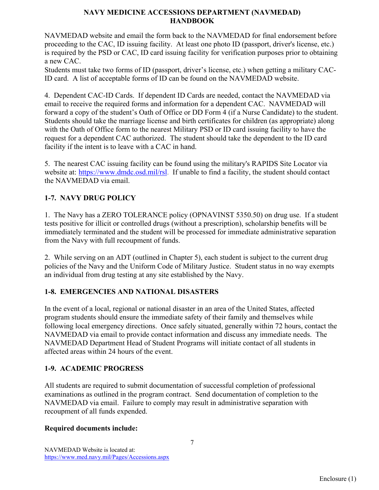NAVMEDAD website and email the form back to the NAVMEDAD for final endorsement before proceeding to the CAC, ID issuing facility. At least one photo ID (passport, driver's license, etc.) is required by the PSD or CAC, ID card issuing facility for verification purposes prior to obtaining a new CAC.

Students must take two forms of ID (passport, driver's license, etc.) when getting a military CAC-ID card. A list of acceptable forms of ID can be found on the NAVMEDAD website.

4. Dependent CAC-ID Cards. If dependent ID Cards are needed, contact the NAVMEDAD via email to receive the required forms and information for a dependent CAC. NAVMEDAD will forward a copy of the student's Oath of Office or DD Form 4 (if a Nurse Candidate) to the student. Students should take the marriage license and birth certificates for children (as appropriate) along with the Oath of Office form to the nearest Military PSD or ID card issuing facility to have the request for a dependent CAC authorized. The student should take the dependent to the ID card facility if the intent is to leave with a CAC in hand.

5. The nearest CAC issuing facility can be found using the military's RAPIDS Site Locator via website at: [https://www.dmdc.osd.mil/rsl.](https://www.dmdc.osd.mil/rsl) If unable to find a facility, the student should contact the NAVMEDAD via email.

# **1-7. NAVY DRUG POLICY**

1. The Navy has a ZERO TOLERANCE policy (OPNAVINST 5350.50) on drug use. If a student tests positive for illicit or controlled drugs (without a prescription), scholarship benefits will be immediately terminated and the student will be processed for immediate administrative separation from the Navy with full recoupment of funds.

2. While serving on an ADT (outlined in Chapter 5), each student is subject to the current drug policies of the Navy and the Uniform Code of Military Justice. Student status in no way exempts an individual from drug testing at any site established by the Navy.

# **1-8. EMERGENCIES AND NATIONAL DISASTERS**

In the event of a local, regional or national disaster in an area of the United States, affected program students should ensure the immediate safety of their family and themselves while following local emergency directions. Once safely situated, generally within 72 hours, contact the NAVMEDAD via email to provide contact information and discuss any immediate needs. The NAVMEDAD Department Head of Student Programs will initiate contact of all students in affected areas within 24 hours of the event.

# **1-9. ACADEMIC PROGRESS**

All students are required to submit documentation of successful completion of professional examinations as outlined in the program contract. Send documentation of completion to the NAVMEDAD via email. Failure to comply may result in administrative separation with recoupment of all funds expended.

7

# **Required documents include:**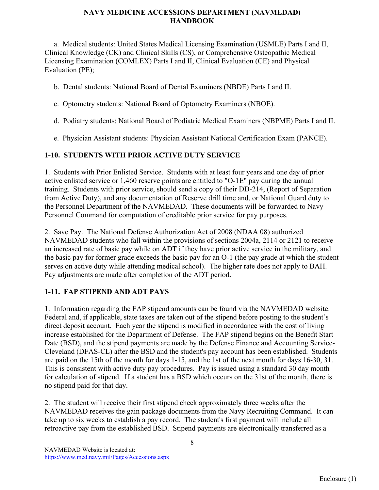a. Medical students: United States Medical Licensing Examination (USMLE) Parts I and II, Clinical Knowledge (CK) and Clinical Skills (CS), or Comprehensive Osteopathic Medical Licensing Examination (COMLEX) Parts I and II, Clinical Evaluation (CE) and Physical Evaluation (PE);

- b. Dental students: National Board of Dental Examiners (NBDE) Parts I and II.
- c. Optometry students: National Board of Optometry Examiners (NBOE).
- d. Podiatry students: National Board of Podiatric Medical Examiners (NBPME) Parts I and II.
- e. Physician Assistant students: Physician Assistant National Certification Exam (PANCE).

# **1-10. STUDENTS WITH PRIOR ACTIVE DUTY SERVICE**

1. Students with Prior Enlisted Service. Students with at least four years and one day of prior active enlisted service or 1,460 reserve points are entitled to "O-1E" pay during the annual training. Students with prior service, should send a copy of their DD-214, (Report of Separation from Active Duty), and any documentation of Reserve drill time and, or National Guard duty to the Personnel Department of the NAVMEDAD. These documents will be forwarded to Navy Personnel Command for computation of creditable prior service for pay purposes.

2. Save Pay. The National Defense Authorization Act of 2008 (NDAA 08) authorized NAVMEDAD students who fall within the provisions of sections 2004a, 2114 or 2121 to receive an increased rate of basic pay while on ADT if they have prior active service in the military, and the basic pay for former grade exceeds the basic pay for an O-1 (the pay grade at which the student serves on active duty while attending medical school). The higher rate does not apply to BAH. Pay adjustments are made after completion of the ADT period.

# **1-11. FAP STIPEND AND ADT PAYS**

1. Information regarding the FAP stipend amounts can be found via the NAVMEDAD website. Federal and, if applicable, state taxes are taken out of the stipend before posting to the student's direct deposit account. Each year the stipend is modified in accordance with the cost of living increase established for the Department of Defense. The FAP stipend begins on the Benefit Start Date (BSD), and the stipend payments are made by the Defense Finance and Accounting Service-Cleveland (DFAS-CL) after the BSD and the student's pay account has been established. Students are paid on the 15th of the month for days 1-15, and the 1st of the next month for days 16-30, 31. This is consistent with active duty pay procedures. Pay is issued using a standard 30 day month for calculation of stipend. If a student has a BSD which occurs on the 31st of the month, there is no stipend paid for that day.

2. The student will receive their first stipend check approximately three weeks after the NAVMEDAD receives the gain package documents from the Navy Recruiting Command. It can take up to six weeks to establish a pay record. The student's first payment will include all retroactive pay from the established BSD. Stipend payments are electronically transferred as a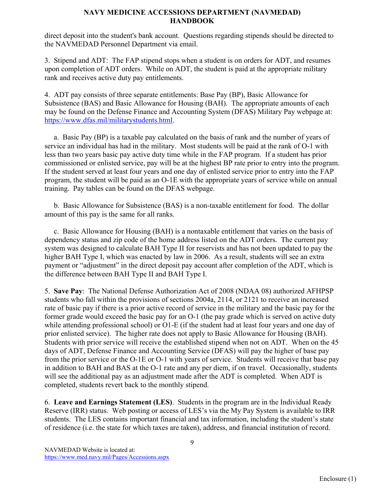direct deposit into the student's bank account. Questions regarding stipends should be directed to the NAVMEDAD Personnel Department via email.

3. Stipend and ADT: The FAP stipend stops when a student is on orders for ADT, and resumes upon completion of ADT orders. While on ADT, the student is paid at the appropriate military rank and receives active duty pay entitlements.

4. ADT pay consists of three separate entitlements: Base Pay (BP), Basic Allowance for Subsistence (BAS) and Basic Allowance for Housing (BAH). The appropriate amounts of each may be found on the Defense Finance and Accounting System (DFAS) Military Pay webpage at: [https://www.dfas.mil/militarystudents.html.](https://www.dfas.mil/militarymembers.html)

 a. Basic Pay (BP) is a taxable pay calculated on the basis of rank and the number of years of service an individual has had in the military. Most students will be paid at the rank of O-1 with less than two years basic pay active duty time while in the FAP program. If a student has prior commissioned or enlisted service, pay will be at the highest BP rate prior to entry into the program. If the student served at least four years and one day of enlisted service prior to entry into the FAP program, the student will be paid as an O-1E with the appropriate years of service while on annual training. Pay tables can be found on the DFAS webpage.

 b. Basic Allowance for Subsistence (BAS) is a non-taxable entitlement for food. The dollar amount of this pay is the same for all ranks.

 c. Basic Allowance for Housing (BAH) is a nontaxable entitlement that varies on the basis of dependency status and zip code of the home address listed on the ADT orders. The current pay system was designed to calculate BAH Type II for reservists and has not been updated to pay the higher BAH Type I, which was enacted by law in 2006. As a result, students will see an extra payment or "adjustment" in the direct deposit pay account after completion of the ADT, which is the difference between BAH Type II and BAH Type I.

5. **Save Pay**: The National Defense Authorization Act of 2008 (NDAA 08) authorized AFHPSP students who fall within the provisions of sections 2004a, 2114, or 2121 to receive an increased rate of basic pay if there is a prior active record of service in the military and the basic pay for the former grade would exceed the basic pay for an O-1 (the pay grade which is served on active duty while attending professional school) or O1-E (if the student had at least four years and one day of prior enlisted service). The higher rate does not apply to Basic Allowance for Housing (BAH). Students with prior service will receive the established stipend when not on ADT. When on the 45 days of ADT, Defense Finance and Accounting Service (DFAS) will pay the higher of base pay from the prior service or the O-1E or O-1 with years of service. Students will receive that base pay in addition to BAH and BAS at the O-1 rate and any per diem, if on travel. Occasionally, students will see the additional pay as an adjustment made after the ADT is completed. When ADT is completed, students revert back to the monthly stipend.

6. **Leave and Earnings Statement (LES)**. Students in the program are in the Individual Ready Reserve (IRR) status. Web posting or access of LES's via the My Pay System is available to IRR students. The LES contains important financial and tax information, including the student's state of residence (i.e. the state for which taxes are taken), address, and financial institution of record.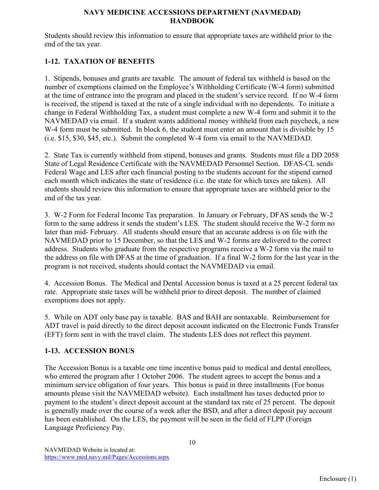Students should review this information to ensure that appropriate taxes are withheld prior to the end of the tax year.

# **1-12. TAXATION OF BENEFITS**

1. Stipends, bonuses and grants are taxable. The amount of federal tax withheld is based on the number of exemptions claimed on the Employee's Withholding Certificate (W-4 form) submitted at the time of entrance into the program and placed in the student's service record. If no W-4 form is received, the stipend is taxed at the rate of a single individual with no dependents. To initiate a change in Federal Withholding Tax, a student must complete a new W-4 form and submit it to the NAVMEDAD via email. If a student wants additional money withheld from each paycheck, a new W-4 form must be submitted. In block 6, the student must enter an amount that is divisible by 15 (i.e. \$15, \$30, \$45, etc.). Submit the completed W-4 form via email to the NAVMEDAD.

2. State Tax is currently withheld from stipend, bonuses and grants. Students must file a DD 2058 State of Legal Residence Certificate with the NAVMEDAD Personnel Section. DFAS-CL sends Federal Wage and LES after each financial posting to the students account for the stipend earned each month which indicates the state of residence (i.e. the state for which taxes are taken). All students should review this information to ensure that appropriate taxes are withheld prior to the end of the tax year.

3. W-2 Form for Federal Income Tax preparation. In January or February, DFAS sends the W-2 form to the same address it sends the student's LES. The student should receive the W-2 form no later than mid- February. All students should ensure that an accurate address is on file with the NAVMEDAD prior to 15 December, so that the LES and W-2 forms are delivered to the correct address. Students who graduate from the respective programs receive a W-2 form via the mail to the address on file with DFAS at the time of graduation. If a final W-2 form for the last year in the program is not received, students should contact the NAVMEDAD via email.

4. Accession Bonus. The Medical and Dental Accession bonus is taxed at a 25 percent federal tax rate. Appropriate state taxes will be withheld prior to direct deposit. The number of claimed exemptions does not apply.

5. While on ADT only base pay is taxable. BAS and BAH are nontaxable. Reimbursement for ADT travel is paid directly to the direct deposit account indicated on the Electronic Funds Transfer (EFT) form sent in with the travel claim. The students LES does not reflect this payment.

# **1-13. ACCESSION BONUS**

The Accession Bonus is a taxable one time incentive bonus paid to medical and dental enrollees, who entered the program after 1 October 2006. The student agrees to accept the bonus and a minimum service obligation of four years. This bonus is paid in three installments (For bonus amounts please visit the NAVMEDAD website). Each installment has taxes deducted prior to payment to the student's direct deposit account at the standard tax rate of 25 percent. The deposit is generally made over the course of a week after the BSD, and after a direct deposit pay account has been established. On the LES, the payment will be seen in the field of FLPP (Foreign Language Proficiency Pay.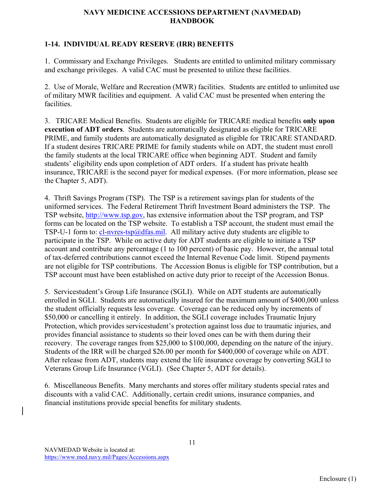# **1-14. INDIVIDUAL READY RESERVE (IRR) BENEFITS**

1. Commissary and Exchange Privileges. Students are entitled to unlimited military commissary and exchange privileges. A valid CAC must be presented to utilize these facilities.

2. Use of Morale, Welfare and Recreation (MWR) facilities. Students are entitled to unlimited use of military MWR facilities and equipment. A valid CAC must be presented when entering the facilities.

3. TRICARE Medical Benefits. Students are eligible for TRICARE medical benefits **only upon execution of ADT orders**. Students are automatically designated as eligible for TRICARE PRIME, and family students are automatically designated as eligible for TRICARE STANDARD. If a student desires TRICARE PRIME for family students while on ADT, the student must enroll the family students at the local TRICARE office when beginning ADT. Student and family students' eligibility ends upon completion of ADT orders. If a student has private health insurance, TRICARE is the second payer for medical expenses. (For more information, please see the Chapter 5, ADT).

4. Thrift Savings Program (TSP). The TSP is a retirement savings plan for students of the uniformed services. The Federal Retirement Thrift Investment Board administers the TSP. The TSP website, [http://www.tsp.gov,](http://www.tsp.gov/) has extensive information about the TSP program, and TSP forms can be located on the TSP website. To establish a TSP account, the student must email the TSP-U-1 form to:  $cl$ -nvres-tsp $@dfas$ -mil. All military active duty students are eligible to participate in the TSP. While on active duty for ADT students are eligible to initiate a TSP account and contribute any percentage (1 to 100 percent) of basic pay. However, the annual total of tax-deferred contributions cannot exceed the Internal Revenue Code limit. Stipend payments are not eligible for TSP contributions. The Accession Bonus is eligible for TSP contribution, but a TSP account must have been established on active duty prior to receipt of the Accession Bonus.

5. Servicestudent's Group Life Insurance (SGLI). While on ADT students are automatically enrolled in SGLI. Students are automatically insured for the maximum amount of \$400,000 unless the student officially requests less coverage. Coverage can be reduced only by increments of \$50,000 or cancelling it entirely. In addition, the SGLI coverage includes Traumatic Injury Protection, which provides servicestudent's protection against loss due to traumatic injuries, and provides financial assistance to students so their loved ones can be with them during their recovery. The coverage ranges from \$25,000 to \$100,000, depending on the nature of the injury. Students of the IRR will be charged \$26.00 per month for \$400,000 of coverage while on ADT. After release from ADT, students may extend the life insurance coverage by converting SGLI to Veterans Group Life Insurance (VGLI). (See Chapter 5, ADT for details).

6. Miscellaneous Benefits. Many merchants and stores offer military students special rates and discounts with a valid CAC. Additionally, certain credit unions, insurance companies, and financial institutions provide special benefits for military students.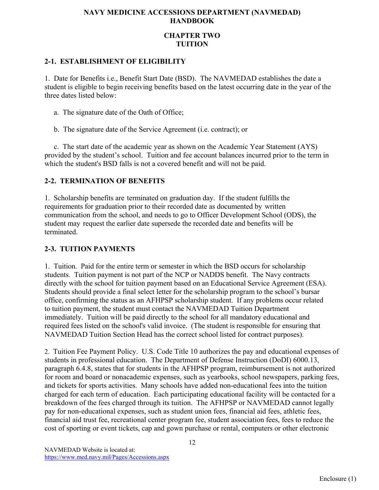# **CHAPTER TWO TUITION**

#### **2-1. ESTABLISHMENT OF ELIGIBILITY**

1. Date for Benefits i.e., Benefit Start Date (BSD). The NAVMEDAD establishes the date a student is eligible to begin receiving benefits based on the latest occurring date in the year of the three dates listed below:

- a. The signature date of the Oath of Office;
- b. The signature date of the Service Agreement (i.e. contract); or

 c. The start date of the academic year as shown on the Academic Year Statement (AYS) provided by the student's school. Tuition and fee account balances incurred prior to the term in which the student's BSD falls is not a covered benefit and will not be paid.

# **2-2. TERMINATION OF BENEFITS**

1. Scholarship benefits are terminated on graduation day. If the student fulfills the requirements for graduation prior to their recorded date as documented by written communication from the school, and needs to go to Officer Development School (ODS), the student may request the earlier date supersede the recorded date and benefits will be terminated.

# **2-3. TUITION PAYMENTS**

1. Tuition. Paid for the entire term or semester in which the BSD occurs for scholarship students. Tuition payment is not part of the NCP or NADDS benefit. The Navy contracts directly with the school for tuition payment based on an Educational Service Agreement (ESA). Students should provide a final select letter for the scholarship program to the school's bursar office, confirming the status as an AFHPSP scholarship student. If any problems occur related to tuition payment, the student must contact the NAVMEDAD Tuition Department immediately. Tuition will be paid directly to the school for all mandatory educational and required fees listed on the school's valid invoice. (The student is responsible for ensuring that NAVMEDAD Tuition Section Head has the correct school listed for contract purposes).

2. Tuition Fee Payment Policy. U.S. Code Title 10 authorizes the pay and educational expenses of students in professional education. The Department of Defense Instruction (DoDI) 6000.13, paragraph 6.4.8, states that for students in the AFHPSP program, reimbursement is not authorized for room and board or nonacademic expenses, such as yearbooks, school newspapers, parking fees, and tickets for sports activities. Many schools have added non-educational fees into the tuition charged for each term of education. Each participating educational facility will be contacted for a breakdown of the fees charged through its tuition. The AFHPSP or NAVMEDAD cannot legally pay for non-educational expenses, such as student union fees, financial aid fees, athletic fees, financial aid trust fee, recreational center program fee, student association fees, fees to reduce the cost of sporting or event tickets, cap and gown purchase or rental, computers or other electronic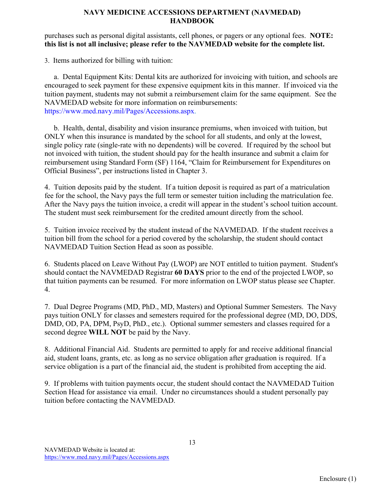#### purchases such as personal digital assistants, cell phones, or pagers or any optional fees. **NOTE: this list is not all inclusive; please refer to the NAVMEDAD website for the complete list.**

3. Items authorized for billing with tuition:

 a. Dental Equipment Kits: Dental kits are authorized for invoicing with tuition, and schools are encouraged to seek payment for these expensive equipment kits in this manner. If invoiced via the tuition payment, students may not submit a reimbursement claim for the same equipment. See the NAVMEDAD website for more information on reimbursements: https://www.med.navy.mil/Pages/Accessions.aspx.

 b. Health, dental, disability and vision insurance premiums, when invoiced with tuition, but ONLY when this insurance is mandated by the school for all students, and only at the lowest, single policy rate (single-rate with no dependents) will be covered. If required by the school but not invoiced with tuition, the student should pay for the health insurance and submit a claim for reimbursement using Standard Form (SF) 1164, "Claim for Reimbursement for Expenditures on Official Business", per instructions listed in Chapter 3.

4. Tuition deposits paid by the student. If a tuition deposit is required as part of a matriculation fee for the school, the Navy pays the full term or semester tuition including the matriculation fee. After the Navy pays the tuition invoice, a credit will appear in the student's school tuition account. The student must seek reimbursement for the credited amount directly from the school.

5. Tuition invoice received by the student instead of the NAVMEDAD. If the student receives a tuition bill from the school for a period covered by the scholarship, the student should contact NAVMEDAD Tuition Section Head as soon as possible.

6. Students placed on Leave Without Pay (LWOP) are NOT entitled to tuition payment. Student's should contact the NAVMEDAD Registrar **60 DAYS** prior to the end of the projected LWOP, so that tuition payments can be resumed. For more information on LWOP status please see Chapter. 4.

7. Dual Degree Programs (MD, PhD., MD, Masters) and Optional Summer Semesters. The Navy pays tuition ONLY for classes and semesters required for the professional degree (MD, DO, DDS, DMD, OD, PA, DPM, PsyD, PhD., etc.). Optional summer semesters and classes required for a second degree **WILL NOT** be paid by the Navy.

8. Additional Financial Aid. Students are permitted to apply for and receive additional financial aid, student loans, grants, etc. as long as no service obligation after graduation is required. If a service obligation is a part of the financial aid, the student is prohibited from accepting the aid.

9. If problems with tuition payments occur, the student should contact the NAVMEDAD Tuition Section Head for assistance via email. Under no circumstances should a student personally pay tuition before contacting the NAVMEDAD.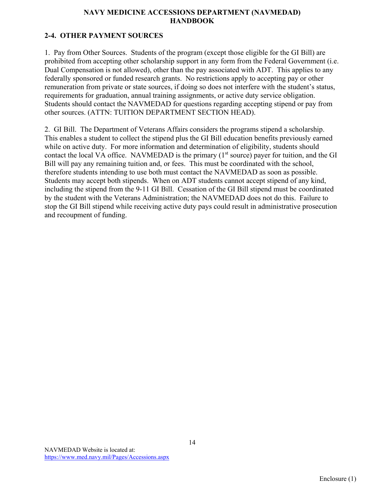# **2-4. OTHER PAYMENT SOURCES**

1. Pay from Other Sources. Students of the program (except those eligible for the GI Bill) are prohibited from accepting other scholarship support in any form from the Federal Government (i.e. Dual Compensation is not allowed), other than the pay associated with ADT. This applies to any federally sponsored or funded research grants. No restrictions apply to accepting pay or other remuneration from private or state sources, if doing so does not interfere with the student's status, requirements for graduation, annual training assignments, or active duty service obligation. Students should contact the NAVMEDAD for questions regarding accepting stipend or pay from other sources. (ATTN: TUITION DEPARTMENT SECTION HEAD).

2. GI Bill. The Department of Veterans Affairs considers the programs stipend a scholarship. This enables a student to collect the stipend plus the GI Bill education benefits previously earned while on active duty. For more information and determination of eligibility, students should contact the local VA office. NAVMEDAD is the primary  $(1<sup>st</sup> source)$  payer for tuition, and the GI Bill will pay any remaining tuition and, or fees. This must be coordinated with the school, therefore students intending to use both must contact the NAVMEDAD as soon as possible. Students may accept both stipends. When on ADT students cannot accept stipend of any kind, including the stipend from the 9-11 GI Bill. Cessation of the GI Bill stipend must be coordinated by the student with the Veterans Administration; the NAVMEDAD does not do this. Failure to stop the GI Bill stipend while receiving active duty pays could result in administrative prosecution and recoupment of funding.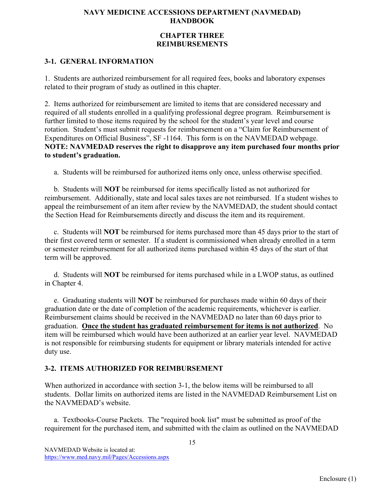### **CHAPTER THREE REIMBURSEMENTS**

# **3-1. GENERAL INFORMATION**

1. Students are authorized reimbursement for all required fees, books and laboratory expenses related to their program of study as outlined in this chapter.

2. Items authorized for reimbursement are limited to items that are considered necessary and required of all students enrolled in a qualifying professional degree program. Reimbursement is further limited to those items required by the school for the student's year level and course rotation. Student's must submit requests for reimbursement on a "Claim for Reimbursement of Expenditures on Official Business", SF -1164. This form is on the NAVMEDAD webpage. **NOTE: NAVMEDAD reserves the right to disapprove any item purchased four months prior to student's graduation.** 

a. Students will be reimbursed for authorized items only once, unless otherwise specified.

 b. Students will **NOT** be reimbursed for items specifically listed as not authorized for reimbursement. Additionally, state and local sales taxes are not reimbursed. If a student wishes to appeal the reimbursement of an item after review by the NAVMEDAD, the student should contact the Section Head for Reimbursements directly and discuss the item and its requirement.

 c. Students will **NOT** be reimbursed for items purchased more than 45 days prior to the start of their first covered term or semester. If a student is commissioned when already enrolled in a term or semester reimbursement for all authorized items purchased within 45 days of the start of that term will be approved.

 d. Students will **NOT** be reimbursed for items purchased while in a LWOP status, as outlined in Chapter 4.

 e. Graduating students will **NOT** be reimbursed for purchases made within 60 days of their graduation date or the date of completion of the academic requirements, whichever is earlier. Reimbursement claims should be received in the NAVMEDAD no later than 60 days prior to graduation. **Once the student has graduated reimbursement for items is not authorized**. No item will be reimbursed which would have been authorized at an earlier year level. NAVMEDAD is not responsible for reimbursing students for equipment or library materials intended for active duty use.

# **3-2. ITEMS AUTHORIZED FOR REIMBURSEMENT**

When authorized in accordance with section 3-1, the below items will be reimbursed to all students. Dollar limits on authorized items are listed in the NAVMEDAD Reimbursement List on the NAVMEDAD's website.

 a. Textbooks-Course Packets. The "required book list" must be submitted as proof of the requirement for the purchased item, and submitted with the claim as outlined on the NAVMEDAD

15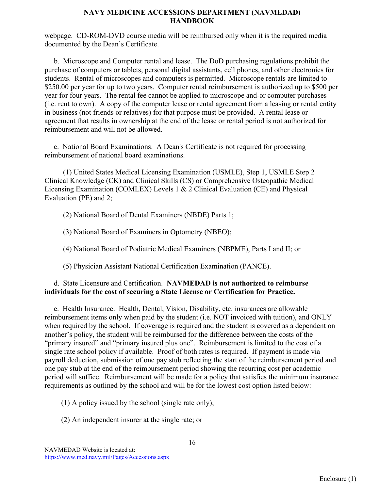webpage. CD-ROM-DVD course media will be reimbursed only when it is the required media documented by the Dean's Certificate.

 b. Microscope and Computer rental and lease. The DoD purchasing regulations prohibit the purchase of computers or tablets, personal digital assistants, cell phones, and other electronics for students. Rental of microscopes and computers is permitted. Microscope rentals are limited to \$250.00 per year for up to two years. Computer rental reimbursement is authorized up to \$500 per year for four years. The rental fee cannot be applied to microscope and-or computer purchases (i.e. rent to own). A copy of the computer lease or rental agreement from a leasing or rental entity in business (not friends or relatives) for that purpose must be provided. A rental lease or agreement that results in ownership at the end of the lease or rental period is not authorized for reimbursement and will not be allowed.

 c. National Board Examinations. A Dean's Certificate is not required for processing reimbursement of national board examinations.

 (1) United States Medical Licensing Examination (USMLE), Step 1, USMLE Step 2 Clinical Knowledge (CK) and Clinical Skills (CS) or Comprehensive Osteopathic Medical Licensing Examination (COMLEX) Levels 1 & 2 Clinical Evaluation (CE) and Physical Evaluation (PE) and 2;

(2) National Board of Dental Examiners (NBDE) Parts 1;

(3) National Board of Examiners in Optometry (NBEO);

(4) National Board of Podiatric Medical Examiners (NBPME), Parts I and II; or

(5) Physician Assistant National Certification Examination (PANCE).

#### d. State Licensure and Certification. **NAVMEDAD is not authorized to reimburse individuals for the cost of securing a State License or Certification for Practice.**

 e. Health Insurance. Health, Dental, Vision, Disability, etc. insurances are allowable reimbursement items only when paid by the student (i.e. NOT invoiced with tuition), and ONLY when required by the school. If coverage is required and the student is covered as a dependent on another's policy, the student will be reimbursed for the difference between the costs of the "primary insured" and "primary insured plus one". Reimbursement is limited to the cost of a single rate school policy if available. Proof of both rates is required. If payment is made via payroll deduction, submission of one pay stub reflecting the start of the reimbursement period and one pay stub at the end of the reimbursement period showing the recurring cost per academic period will suffice. Reimbursement will be made for a policy that satisfies the minimum insurance requirements as outlined by the school and will be for the lowest cost option listed below:

(1) A policy issued by the school (single rate only);

(2) An independent insurer at the single rate; or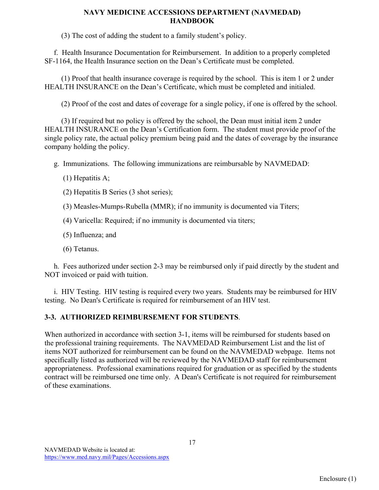(3) The cost of adding the student to a family student's policy.

 f. Health Insurance Documentation for Reimbursement. In addition to a properly completed SF-1164, the Health Insurance section on the Dean's Certificate must be completed.

 (1) Proof that health insurance coverage is required by the school. This is item 1 or 2 under HEALTH INSURANCE on the Dean's Certificate, which must be completed and initialed.

(2) Proof of the cost and dates of coverage for a single policy, if one is offered by the school.

 (3) If required but no policy is offered by the school, the Dean must initial item 2 under HEALTH INSURANCE on the Dean's Certification form. The student must provide proof of the single policy rate, the actual policy premium being paid and the dates of coverage by the insurance company holding the policy.

g. Immunizations. The following immunizations are reimbursable by NAVMEDAD:

- (1) Hepatitis A;
- (2) Hepatitis B Series (3 shot series);
- (3) Measles-Mumps-Rubella (MMR); if no immunity is documented via Titers;
- (4) Varicella: Required; if no immunity is documented via titers;
- (5) Influenza; and
- (6) Tetanus.

 h. Fees authorized under section 2-3 may be reimbursed only if paid directly by the student and NOT invoiced or paid with tuition.

 i. HIV Testing. HIV testing is required every two years. Students may be reimbursed for HIV testing. No Dean's Certificate is required for reimbursement of an HIV test.

# **3-3. AUTHORIZED REIMBURSEMENT FOR STUDENTS**.

When authorized in accordance with section 3-1, items will be reimbursed for students based on the professional training requirements. The NAVMEDAD Reimbursement List and the list of items NOT authorized for reimbursement can be found on the NAVMEDAD webpage. Items not specifically listed as authorized will be reviewed by the NAVMEDAD staff for reimbursement appropriateness. Professional examinations required for graduation or as specified by the students contract will be reimbursed one time only. A Dean's Certificate is not required for reimbursement of these examinations.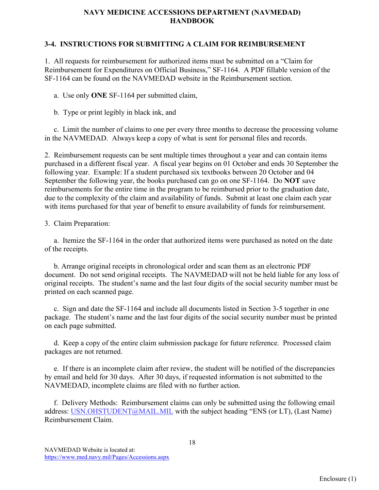#### **3-4. INSTRUCTIONS FOR SUBMITTING A CLAIM FOR REIMBURSEMENT**

1. All requests for reimbursement for authorized items must be submitted on a "Claim for Reimbursement for Expenditures on Official Business," SF-1164. A PDF fillable version of the SF-1164 can be found on the NAVMEDAD website in the Reimbursement section.

a. Use only **ONE** SF-1164 per submitted claim,

b. Type or print legibly in black ink, and

 c. Limit the number of claims to one per every three months to decrease the processing volume in the NAVMEDAD. Always keep a copy of what is sent for personal files and records.

2. Reimbursement requests can be sent multiple times throughout a year and can contain items purchased in a different fiscal year. A fiscal year begins on 01 October and ends 30 September the following year. Example: If a student purchased six textbooks between 20 October and 04 September the following year, the books purchased can go on one SF-1164. Do **NOT** save reimbursements for the entire time in the program to be reimbursed prior to the graduation date, due to the complexity of the claim and availability of funds. Submit at least one claim each year with items purchased for that year of benefit to ensure availability of funds for reimbursement.

#### 3. Claim Preparation:

 a. Itemize the SF-1164 in the order that authorized items were purchased as noted on the date of the receipts.

 b. Arrange original receipts in chronological order and scan them as an electronic PDF document. Do not send original receipts. The NAVMEDAD will not be held liable for any loss of original receipts. The student's name and the last four digits of the social security number must be printed on each scanned page.

 c. Sign and date the SF-1164 and include all documents listed in Section 3-5 together in one package. The student's name and the last four digits of the social security number must be printed on each page submitted.

 d. Keep a copy of the entire claim submission package for future reference. Processed claim packages are not returned.

 e. If there is an incomplete claim after review, the student will be notified of the discrepancies by email and held for 30 days. After 30 days, if requested information is not submitted to the NAVMEDAD, incomplete claims are filed with no further action.

 f. Delivery Methods: Reimbursement claims can only be submitted using the following email address: [USN.OHSTUDENT@MAIL.MIL](mailto:USN.OHSTUDENT@MAIL.MIL) with the subject heading "ENS (or LT), (Last Name) Reimbursement Claim.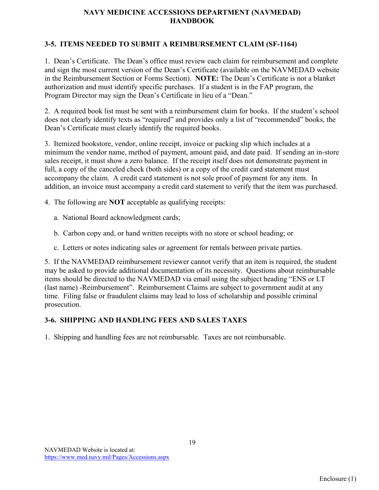# **3-5. ITEMS NEEDED TO SUBMIT A REIMBURSEMENT CLAIM (SF-1164)**

1. Dean's Certificate. The Dean's office must review each claim for reimbursement and complete and sign the most current version of the Dean's Certificate (available on the NAVMEDAD website in the Reimbursement Section or Forms Section). **NOTE:** The Dean's Certificate is not a blanket authorization and must identify specific purchases. If a student is in the FAP program, the Program Director may sign the Dean's Certificate in lieu of a "Dean."

2. A required book list must be sent with a reimbursement claim for books. If the student's school does not clearly identify texts as "required" and provides only a list of "recommended" books, the Dean's Certificate must clearly identify the required books.

3. Itemized bookstore, vendor, online receipt, invoice or packing slip which includes at a minimum the vendor name, method of payment, amount paid, and date paid. If sending an in-store sales receipt, it must show a zero balance. If the receipt itself does not demonstrate payment in full, a copy of the canceled check (both sides) or a copy of the credit card statement must accompany the claim. A credit card statement is not sole proof of payment for any item. In addition, an invoice must accompany a credit card statement to verify that the item was purchased.

- 4. The following are **NOT** acceptable as qualifying receipts:
	- a. National Board acknowledgment cards;
	- b. Carbon copy and, or hand written receipts with no store or school heading; or
	- c. Letters or notes indicating sales or agreement for rentals between private parties.

5. If the NAVMEDAD reimbursement reviewer cannot verify that an item is required, the student may be asked to provide additional documentation of its necessity. Questions about reimbursable items should be directed to the NAVMEDAD via email using the subject heading "ENS or LT (last name) -Reimbursement". Reimbursement Claims are subject to government audit at any time. Filing false or fraudulent claims may lead to loss of scholarship and possible criminal prosecution.

# **3-6. SHIPPING AND HANDLING FEES AND SALES TAXES**

1. Shipping and handling fees are not reimbursable. Taxes are not reimbursable.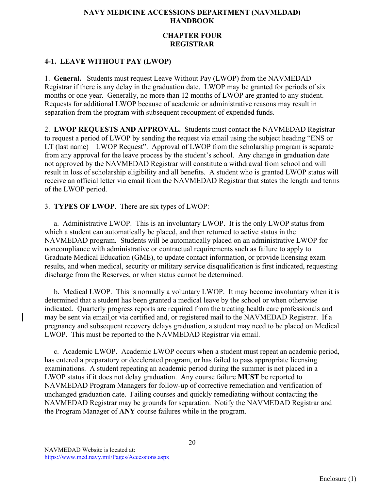## **CHAPTER FOUR REGISTRAR**

# **4-1. LEAVE WITHOUT PAY (LWOP)**

1. **General.** Students must request Leave Without Pay (LWOP) from the NAVMEDAD Registrar if there is any delay in the graduation date. LWOP may be granted for periods of six months or one year. Generally, no more than 12 months of LWOP are granted to any student. Requests for additional LWOP because of academic or administrative reasons may result in separation from the program with subsequent recoupment of expended funds.

2. **LWOP REQUESTS AND APPROVAL.** Students must contact the NAVMEDAD Registrar to request a period of LWOP by sending the request via email using the subject heading "ENS or LT (last name) – LWOP Request". Approval of LWOP from the scholarship program is separate from any approval for the leave process by the student's school. Any change in graduation date not approved by the NAVMEDAD Registrar will constitute a withdrawal from school and will result in loss of scholarship eligibility and all benefits. A student who is granted LWOP status will receive an official letter via email from the NAVMEDAD Registrar that states the length and terms of the LWOP period.

3. **TYPES OF LWOP**. There are six types of LWOP:

 a. Administrative LWOP. This is an involuntary LWOP. It is the only LWOP status from which a student can automatically be placed, and then returned to active status in the NAVMEDAD program. Students will be automatically placed on an administrative LWOP for noncompliance with administrative or contractual requirements such as failure to apply to Graduate Medical Education (GME), to update contact information, or provide licensing exam results, and when medical, security or military service disqualification is first indicated, requesting discharge from the Reserves, or when status cannot be determined.

 b. Medical LWOP. This is normally a voluntary LWOP. It may become involuntary when it is determined that a student has been granted a medical leave by the school or when otherwise indicated. Quarterly progress reports are required from the treating health care professionals and may be sent via email or via certified and, or registered mail to the NAVMEDAD Registrar. If a pregnancy and subsequent recovery delays graduation, a student may need to be placed on Medical LWOP. This must be reported to the NAVMEDAD Registrar via email.

 c. Academic LWOP. Academic LWOP occurs when a student must repeat an academic period, has entered a preparatory or decelerated program, or has failed to pass appropriate licensing examinations. A student repeating an academic period during the summer is not placed in a LWOP status if it does not delay graduation. Any course failure **MUST** be reported to NAVMEDAD Program Managers for follow-up of corrective remediation and verification of unchanged graduation date. Failing courses and quickly remediating without contacting the NAVMEDAD Registrar may be grounds for separation. Notify the NAVMEDAD Registrar and the Program Manager of **ANY** course failures while in the program.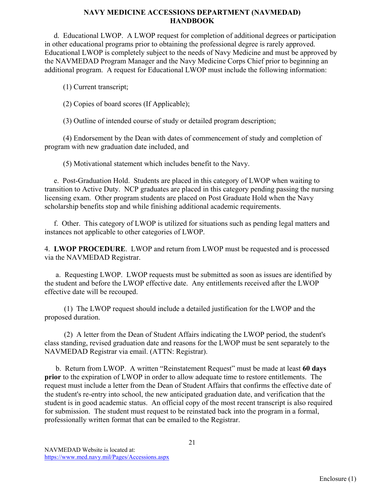d. Educational LWOP. A LWOP request for completion of additional degrees or participation in other educational programs prior to obtaining the professional degree is rarely approved. Educational LWOP is completely subject to the needs of Navy Medicine and must be approved by the NAVMEDAD Program Manager and the Navy Medicine Corps Chief prior to beginning an additional program. A request for Educational LWOP must include the following information:

(1) Current transcript;

(2) Copies of board scores (If Applicable);

(3) Outline of intended course of study or detailed program description;

 (4) Endorsement by the Dean with dates of commencement of study and completion of program with new graduation date included, and

(5) Motivational statement which includes benefit to the Navy.

 e. Post-Graduation Hold. Students are placed in this category of LWOP when waiting to transition to Active Duty. NCP graduates are placed in this category pending passing the nursing licensing exam. Other program students are placed on Post Graduate Hold when the Navy scholarship benefits stop and while finishing additional academic requirements.

 f. Other. This category of LWOP is utilized for situations such as pending legal matters and instances not applicable to other categories of LWOP.

4. **LWOP PROCEDURE**. LWOP and return from LWOP must be requested and is processed via the NAVMEDAD Registrar.

 a. Requesting LWOP. LWOP requests must be submitted as soon as issues are identified by the student and before the LWOP effective date. Any entitlements received after the LWOP effective date will be recouped.

(1) The LWOP request should include a detailed justification for the LWOP and the proposed duration.

(2) A letter from the Dean of Student Affairs indicating the LWOP period, the student's class standing, revised graduation date and reasons for the LWOP must be sent separately to the NAVMEDAD Registrar via email. (ATTN: Registrar).

 b. Return from LWOP. A written "Reinstatement Request" must be made at least **60 days prior** to the expiration of LWOP in order to allow adequate time to restore entitlements. The request must include a letter from the Dean of Student Affairs that confirms the effective date of the student's re-entry into school, the new anticipated graduation date, and verification that the student is in good academic status. An official copy of the most recent transcript is also required for submission. The student must request to be reinstated back into the program in a formal, professionally written format that can be emailed to the Registrar.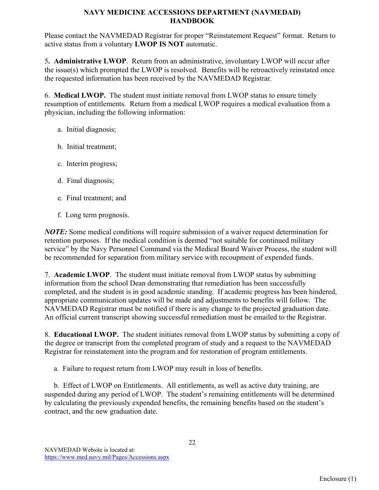Please contact the NAVMEDAD Registrar for proper "Reinstatement Request" format. Return to active status from a voluntary **LWOP IS NOT** automatic.

5**. Administrative LWOP**. Return from an administrative, involuntary LWOP will occur after the issue(s) which prompted the LWOP is resolved. Benefits will be retroactively reinstated once the requested information has been received by the NAVMEDAD Registrar.

6. **Medical LWOP.** The student must initiate removal from LWOP status to ensure timely resumption of entitlements. Return from a medical LWOP requires a medical evaluation from a physician, including the following information:

- a. Initial diagnosis;
- b. Initial treatment;
- c. Interim progress;
- d. Final diagnosis;
- e. Final treatment; and
- f. Long term prognosis.

*NOTE:* Some medical conditions will require submission of a waiver request determination for retention purposes. If the medical condition is deemed "not suitable for continued military service" by the Navy Personnel Command via the Medical Board Waiver Process, the student will be recommended for separation from military service with recoupment of expended funds.

7. **Academic LWOP**. The student must initiate removal from LWOP status by submitting information from the school Dean demonstrating that remediation has been successfully completed, and the student is in good academic standing. If academic progress has been hindered, appropriate communication updates will be made and adjustments to benefits will follow. The NAVMEDAD Registrar must be notified if there is any change to the projected graduation date. An official current transcript showing successful remediation must be emailed to the Registrar.

8. **Educational LWOP.** The student initiates removal from LWOP status by submitting a copy of the degree or transcript from the completed program of study and a request to the NAVMEDAD Registrar for reinstatement into the program and for restoration of program entitlements.

a. Failure to request return from LWOP may result in loss of benefits.

 b. Effect of LWOP on Entitlements. All entitlements, as well as active duty training, are suspended during any period of LWOP. The student's remaining entitlements will be determined by calculating the previously expended benefits, the remaining benefits based on the student's contract, and the new graduation date.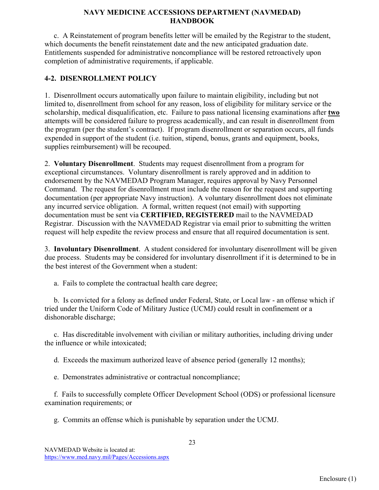c. A Reinstatement of program benefits letter will be emailed by the Registrar to the student, which documents the benefit reinstatement date and the new anticipated graduation date. Entitlements suspended for administrative noncompliance will be restored retroactively upon completion of administrative requirements, if applicable.

# **4-2. DISENROLLMENT POLICY**

1. Disenrollment occurs automatically upon failure to maintain eligibility, including but not limited to, disenrollment from school for any reason, loss of eligibility for military service or the scholarship, medical disqualification, etc. Failure to pass national licensing examinations after **two** attempts will be considered failure to progress academically, and can result in disenrollment from the program (per the student's contract). If program disenrollment or separation occurs, all funds expended in support of the student (i.e. tuition, stipend, bonus, grants and equipment, books, supplies reimbursement) will be recouped.

2. **Voluntary Disenrollment**. Students may request disenrollment from a program for exceptional circumstances. Voluntary disenrollment is rarely approved and in addition to endorsement by the NAVMEDAD Program Manager, requires approval by Navy Personnel Command. The request for disenrollment must include the reason for the request and supporting documentation (per appropriate Navy instruction). A voluntary disenrollment does not eliminate any incurred service obligation. A formal, written request (not email) with supporting documentation must be sent via **CERTIFIED, REGISTERED** mail to the NAVMEDAD Registrar. Discussion with the NAVMEDAD Registrar via email prior to submitting the written request will help expedite the review process and ensure that all required documentation is sent.

3. **Involuntary Disenrollment**. A student considered for involuntary disenrollment will be given due process. Students may be considered for involuntary disenrollment if it is determined to be in the best interest of the Government when a student:

a. Fails to complete the contractual health care degree;

 b. Is convicted for a felony as defined under Federal, State, or Local law - an offense which if tried under the Uniform Code of Military Justice (UCMJ) could result in confinement or a dishonorable discharge;

 c. Has discreditable involvement with civilian or military authorities, including driving under the influence or while intoxicated;

d. Exceeds the maximum authorized leave of absence period (generally 12 months);

e. Demonstrates administrative or contractual noncompliance;

 f. Fails to successfully complete Officer Development School (ODS) or professional licensure examination requirements; or

23

g. Commits an offense which is punishable by separation under the UCMJ.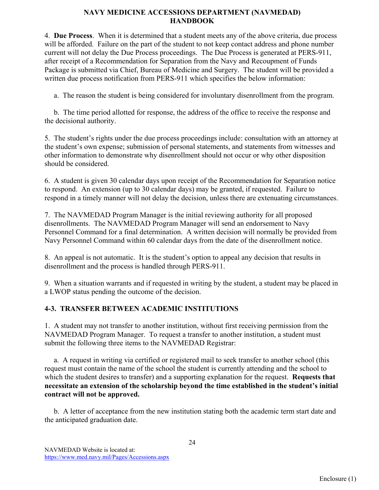4. **Due Process**. When it is determined that a student meets any of the above criteria, due process will be afforded. Failure on the part of the student to not keep contact address and phone number current will not delay the Due Process proceedings. The Due Process is generated at PERS-911, after receipt of a Recommendation for Separation from the Navy and Recoupment of Funds Package is submitted via Chief, Bureau of Medicine and Surgery. The student will be provided a written due process notification from PERS-911 which specifies the below information:

a. The reason the student is being considered for involuntary disenrollment from the program.

 b. The time period allotted for response, the address of the office to receive the response and the decisional authority.

5. The student's rights under the due process proceedings include: consultation with an attorney at the student's own expense; submission of personal statements, and statements from witnesses and other information to demonstrate why disenrollment should not occur or why other disposition should be considered.

6. A student is given 30 calendar days upon receipt of the Recommendation for Separation notice to respond. An extension (up to 30 calendar days) may be granted, if requested. Failure to respond in a timely manner will not delay the decision, unless there are extenuating circumstances.

7. The NAVMEDAD Program Manager is the initial reviewing authority for all proposed disenrollments. The NAVMEDAD Program Manager will send an endorsement to Navy Personnel Command for a final determination. A written decision will normally be provided from Navy Personnel Command within 60 calendar days from the date of the disenrollment notice.

8. An appeal is not automatic. It is the student's option to appeal any decision that results in disenrollment and the process is handled through PERS-911.

9. When a situation warrants and if requested in writing by the student, a student may be placed in a LWOP status pending the outcome of the decision.

# **4-3. TRANSFER BETWEEN ACADEMIC INSTITUTIONS**

1. A student may not transfer to another institution, without first receiving permission from the NAVMEDAD Program Manager. To request a transfer to another institution, a student must submit the following three items to the NAVMEDAD Registrar:

 a. A request in writing via certified or registered mail to seek transfer to another school (this request must contain the name of the school the student is currently attending and the school to which the student desires to transfer) and a supporting explanation for the request. **Requests that necessitate an extension of the scholarship beyond the time established in the student's initial contract will not be approved.**

 b. A letter of acceptance from the new institution stating both the academic term start date and the anticipated graduation date.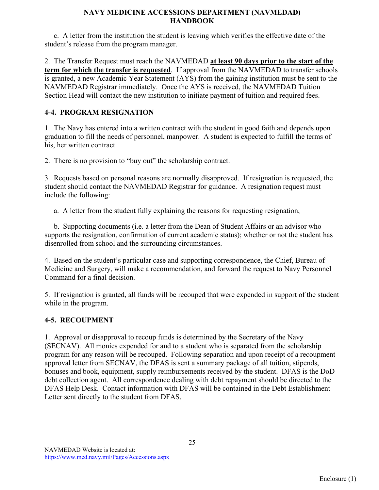c. A letter from the institution the student is leaving which verifies the effective date of the student's release from the program manager.

2. The Transfer Request must reach the NAVMEDAD **at least 90 days prior to the start of the term for which the transfer is requested**. If approval from the NAVMEDAD to transfer schools is granted, a new Academic Year Statement (AYS) from the gaining institution must be sent to the NAVMEDAD Registrar immediately. Once the AYS is received, the NAVMEDAD Tuition Section Head will contact the new institution to initiate payment of tuition and required fees.

# **4-4. PROGRAM RESIGNATION**

1. The Navy has entered into a written contract with the student in good faith and depends upon graduation to fill the needs of personnel, manpower. A student is expected to fulfill the terms of his, her written contract.

2. There is no provision to "buy out" the scholarship contract.

3. Requests based on personal reasons are normally disapproved. If resignation is requested, the student should contact the NAVMEDAD Registrar for guidance. A resignation request must include the following:

a. A letter from the student fully explaining the reasons for requesting resignation,

 b. Supporting documents (i.e. a letter from the Dean of Student Affairs or an advisor who supports the resignation, confirmation of current academic status); whether or not the student has disenrolled from school and the surrounding circumstances.

4. Based on the student's particular case and supporting correspondence, the Chief, Bureau of Medicine and Surgery, will make a recommendation, and forward the request to Navy Personnel Command for a final decision.

5. If resignation is granted, all funds will be recouped that were expended in support of the student while in the program.

# **4-5. RECOUPMENT**

1. Approval or disapproval to recoup funds is determined by the Secretary of the Navy (SECNAV). All monies expended for and to a student who is separated from the scholarship program for any reason will be recouped. Following separation and upon receipt of a recoupment approval letter from SECNAV, the DFAS is sent a summary package of all tuition, stipends, bonuses and book, equipment, supply reimbursements received by the student. DFAS is the DoD debt collection agent. All correspondence dealing with debt repayment should be directed to the DFAS Help Desk. Contact information with DFAS will be contained in the Debt Establishment Letter sent directly to the student from DFAS.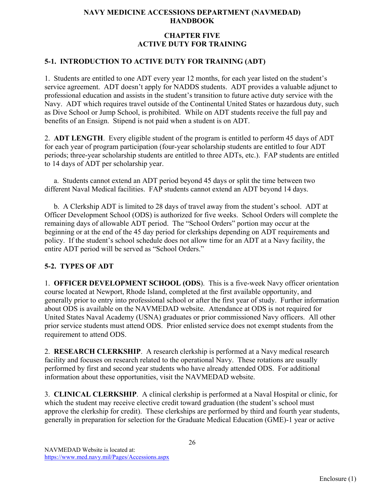# **CHAPTER FIVE ACTIVE DUTY FOR TRAINING**

# **5-1. INTRODUCTION TO ACTIVE DUTY FOR TRAINING (ADT)**

1. Students are entitled to one ADT every year 12 months, for each year listed on the student's service agreement. ADT doesn't apply for NADDS students. ADT provides a valuable adjunct to professional education and assists in the student's transition to future active duty service with the Navy. ADT which requires travel outside of the Continental United States or hazardous duty, such as Dive School or Jump School, is prohibited. While on ADT students receive the full pay and benefits of an Ensign. Stipend is not paid when a student is on ADT.

2. **ADT LENGTH**. Every eligible student of the program is entitled to perform 45 days of ADT for each year of program participation (four-year scholarship students are entitled to four ADT periods; three-year scholarship students are entitled to three ADTs, etc.). FAP students are entitled to 14 days of ADT per scholarship year.

 a. Students cannot extend an ADT period beyond 45 days or split the time between two different Naval Medical facilities. FAP students cannot extend an ADT beyond 14 days.

 b. A Clerkship ADT is limited to 28 days of travel away from the student's school. ADT at Officer Development School (ODS) is authorized for five weeks. School Orders will complete the remaining days of allowable ADT period. The "School Orders" portion may occur at the beginning or at the end of the 45 day period for clerkships depending on ADT requirements and policy. If the student's school schedule does not allow time for an ADT at a Navy facility, the entire ADT period will be served as "School Orders."

# **5-2. TYPES OF ADT**

1. **OFFICER DEVELOPMENT SCHOOL (ODS**). This is a five-week Navy officer orientation course located at Newport, Rhode Island, completed at the first available opportunity, and generally prior to entry into professional school or after the first year of study. Further information about ODS is available on the NAVMEDAD website. Attendance at ODS is not required for United States Naval Academy (USNA) graduates or prior commissioned Navy officers. All other prior service students must attend ODS. Prior enlisted service does not exempt students from the requirement to attend ODS.

2. **RESEARCH CLERKSHIP**. A research clerkship is performed at a Navy medical research facility and focuses on research related to the operational Navy. These rotations are usually performed by first and second year students who have already attended ODS. For additional information about these opportunities, visit the NAVMEDAD website.

3. **CLINICAL CLERKSHIP**. A clinical clerkship is performed at a Naval Hospital or clinic, for which the student may receive elective credit toward graduation (the student's school must approve the clerkship for credit). These clerkships are performed by third and fourth year students, generally in preparation for selection for the Graduate Medical Education (GME)-1 year or active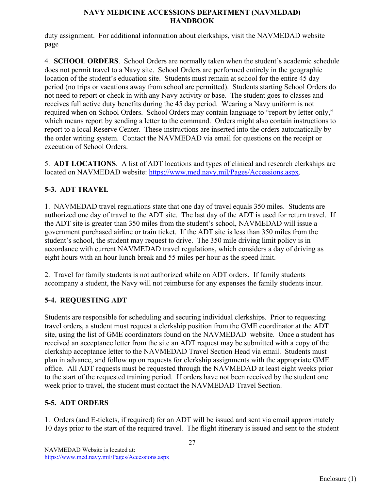duty assignment. For additional information about clerkships, visit the NAVMEDAD website page

4. **SCHOOL ORDERS**. School Orders are normally taken when the student's academic schedule does not permit travel to a Navy site. School Orders are performed entirely in the geographic location of the student's education site. Students must remain at school for the entire 45 day period (no trips or vacations away from school are permitted). Students starting School Orders do not need to report or check in with any Navy activity or base. The student goes to classes and receives full active duty benefits during the 45 day period. Wearing a Navy uniform is not required when on School Orders. School Orders may contain language to "report by letter only," which means report by sending a letter to the command. Orders might also contain instructions to report to a local Reserve Center. These instructions are inserted into the orders automatically by the order writing system. Contact the NAVMEDAD via email for questions on the receipt or execution of School Orders.

5. **ADT LOCATIONS**. A list of ADT locations and types of clinical and research clerkships are located on NAVMEDAD website: [https://www.med.navy.mil/Pages/Accessions.aspx.](http://www.med.navy.mil/Accessions/Pages/default.aspx)

# **5-3. ADT TRAVEL**

1. NAVMEDAD travel regulations state that one day of travel equals 350 miles. Students are authorized one day of travel to the ADT site. The last day of the ADT is used for return travel. If the ADT site is greater than 350 miles from the student's school, NAVMEDAD will issue a government purchased airline or train ticket. If the ADT site is less than 350 miles from the student's school, the student may request to drive. The 350 mile driving limit policy is in accordance with current NAVMEDAD travel regulations, which considers a day of driving as eight hours with an hour lunch break and 55 miles per hour as the speed limit.

2. Travel for family students is not authorized while on ADT orders. If family students accompany a student, the Navy will not reimburse for any expenses the family students incur.

# **5-4. REQUESTING ADT**

Students are responsible for scheduling and securing individual clerkships. Prior to requesting travel orders, a student must request a clerkship position from the GME coordinator at the ADT site, using the list of GME coordinators found on the NAVMEDAD website. Once a student has received an acceptance letter from the site an ADT request may be submitted with a copy of the clerkship acceptance letter to the NAVMEDAD Travel Section Head via email. Students must plan in advance, and follow up on requests for clerkship assignments with the appropriate GME office. All ADT requests must be requested through the NAVMEDAD at least eight weeks prior to the start of the requested training period. If orders have not been received by the student one week prior to travel, the student must contact the NAVMEDAD Travel Section.

# **5-5. ADT ORDERS**

1. Orders (and E-tickets, if required) for an ADT will be issued and sent via email approximately 10 days prior to the start of the required travel. The flight itinerary is issued and sent to the student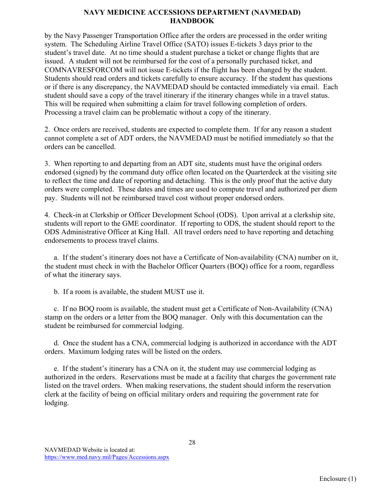by the Navy Passenger Transportation Office after the orders are processed in the order writing system. The Scheduling Airline Travel Office (SATO) issues E-tickets 3 days prior to the student's travel date. At no time should a student purchase a ticket or change flights that are issued. A student will not be reimbursed for the cost of a personally purchased ticket, and COMNAVRESFORCOM will not issue E-tickets if the flight has been changed by the student. Students should read orders and tickets carefully to ensure accuracy. If the student has questions or if there is any discrepancy, the NAVMEDAD should be contacted immediately via email. Each student should save a copy of the travel itinerary if the itinerary changes while in a travel status. This will be required when submitting a claim for travel following completion of orders. Processing a travel claim can be problematic without a copy of the itinerary.

2. Once orders are received, students are expected to complete them. If for any reason a student cannot complete a set of ADT orders, the NAVMEDAD must be notified immediately so that the orders can be cancelled.

3. When reporting to and departing from an ADT site, students must have the original orders endorsed (signed) by the command duty office often located on the Quarterdeck at the visiting site to reflect the time and date of reporting and detaching. This is the only proof that the active duty orders were completed. These dates and times are used to compute travel and authorized per diem pay. Students will not be reimbursed travel cost without proper endorsed orders.

4. Check-in at Clerkship or Officer Development School (ODS). Upon arrival at a clerkship site, students will report to the GME coordinator. If reporting to ODS, the student should report to the ODS Administrative Officer at King Hall. All travel orders need to have reporting and detaching endorsements to process travel claims.

 a. If the student's itinerary does not have a Certificate of Non-availability (CNA) number on it, the student must check in with the Bachelor Officer Quarters (BOQ) office for a room, regardless of what the itinerary says.

b. If a room is available, the student MUST use it.

 c. If no BOQ room is available, the student must get a Certificate of Non-Availability (CNA) stamp on the orders or a letter from the BOQ manager. Only with this documentation can the student be reimbursed for commercial lodging.

 d. Once the student has a CNA, commercial lodging is authorized in accordance with the ADT orders. Maximum lodging rates will be listed on the orders.

 e. If the student's itinerary has a CNA on it, the student may use commercial lodging as authorized in the orders. Reservations must be made at a facility that charges the government rate listed on the travel orders. When making reservations, the student should inform the reservation clerk at the facility of being on official military orders and requiring the government rate for lodging.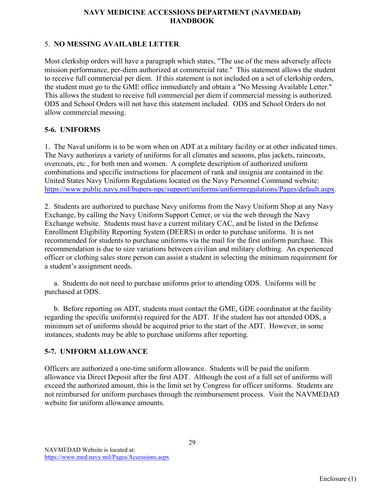# 5. **NO MESSING AVAILABLE LETTER**.

Most clerkship orders will have a paragraph which states, "The use of the mess adversely affects mission performance, per-diem authorized at commercial rate." This statement allows the student to receive full commercial per diem. If this statement is not included on a set of clerkship orders, the student must go to the GME office immediately and obtain a "No Messing Available Letter." This allows the student to receive full commercial per diem if commercial messing is authorized. ODS and School Orders will not have this statement included. ODS and School Orders do not allow commercial messing.

# **5-6. UNIFORMS**

1. The Naval uniform is to be worn when on ADT at a military facility or at other indicated times. The Navy authorizes a variety of uniforms for all climates and seasons, plus jackets, raincoats, overcoats, etc., for both men and women. A complete description of authorized uniform combinations and specific instructions for placement of rank and insignia are contained in the United States Navy Uniform Regulations located on the Navy Personnel Command website: [https://www.public.navy.mil/bupers-npc/support/uniforms/uniformregulations/Pages/default.aspx.](https://www.public.navy.mil/bupers-npc/support/uniforms/uniformregulations/Pages/default.aspx)

2. Students are authorized to purchase Navy uniforms from the Navy Uniform Shop at any Navy Exchange, by calling the Navy Uniform Support Center, or via the web through the Navy Exchange website. Students must have a current military CAC, and be listed in the Defense Enrollment Eligibility Reporting System (DEERS) in order to purchase uniforms. It is not recommended for students to purchase uniforms via the mail for the first uniform purchase. This recommendation is due to size variations between civilian and military clothing. An experienced officer or clothing sales store person can assist a student in selecting the minimum requirement for a student's assignment needs.

 a. Students do not need to purchase uniforms prior to attending ODS. Uniforms will be purchased at ODS.

 b. Before reporting on ADT, students must contact the GME, GDE coordinator at the facility regarding the specific uniform(s) required for the ADT. If the student has not attended ODS, a minimum set of uniforms should be acquired prior to the start of the ADT. However, in some instances, students may be able to purchase uniforms after reporting.

# **5-7. UNIFORM ALLOWANCE**

Officers are authorized a one-time uniform allowance. Students will be paid the uniform allowance via Direct Deposit after the first ADT. Although the cost of a full set of uniforms will exceed the authorized amount, this is the limit set by Congress for officer uniforms. Students are not reimbursed for uniform purchases through the reimbursement process. Visit the NAVMEDAD website for uniform allowance amounts.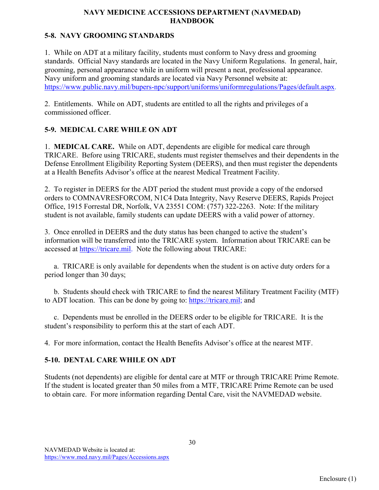# **5-8. NAVY GROOMING STANDARDS**

1. While on ADT at a military facility, students must conform to Navy dress and grooming standards. Official Navy standards are located in the Navy Uniform Regulations. In general, hair, grooming, personal appearance while in uniform will present a neat, professional appearance. Navy uniform and grooming standards are located via Navy Personnel website at: [https://www.public.navy.mil/bupers-npc/support/uniforms/uniformregulations/Pages/default.aspx.](https://www.public.navy.mil/bupers-npc/support/uniforms/uniformregulations/Pages/default.aspx)

2. Entitlements. While on ADT, students are entitled to all the rights and privileges of a commissioned officer.

# **5-9. MEDICAL CARE WHILE ON ADT**

1. **MEDICAL CARE.** While on ADT, dependents are eligible for medical care through TRICARE. Before using TRICARE, students must register themselves and their dependents in the Defense Enrollment Eligibility Reporting System (DEERS), and then must register the dependents at a Health Benefits Advisor's office at the nearest Medical Treatment Facility.

2. To register in DEERS for the ADT period the student must provide a copy of the endorsed orders to COMNAVRESFORCOM, N1C4 Data Integrity, Navy Reserve DEERS, Rapids Project Office, 1915 Forrestal DR, Norfolk, VA 23551 COM: (757) 322-2263. Note: If the military student is not available, family students can update DEERS with a valid power of attorney.

3. Once enrolled in DEERS and the duty status has been changed to active the student's information will be transferred into the TRICARE system. Information about TRICARE can be accessed at [https://tricare.mil.](https://tricare.mil/) Note the following about TRICARE:

 a. TRICARE is only available for dependents when the student is on active duty orders for a period longer than 30 days;

 b. Students should check with TRICARE to find the nearest Military Treatment Facility (MTF) to ADT location. This can be done by going to: [https://tricare.mil;](https://tricare.mil/) and

 c. Dependents must be enrolled in the DEERS order to be eligible for TRICARE. It is the student's responsibility to perform this at the start of each ADT.

4. For more information, contact the Health Benefits Advisor's office at the nearest MTF.

# **5-10. DENTAL CARE WHILE ON ADT**

Students (not dependents) are eligible for dental care at MTF or through TRICARE Prime Remote. If the student is located greater than 50 miles from a MTF, TRICARE Prime Remote can be used to obtain care. For more information regarding Dental Care, visit the NAVMEDAD website.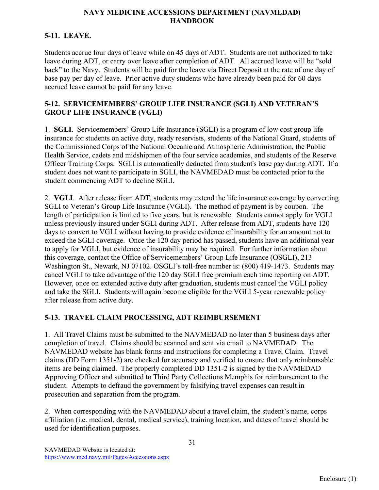# **5-11. LEAVE.**

Students accrue four days of leave while on 45 days of ADT. Students are not authorized to take leave during ADT, or carry over leave after completion of ADT. All accrued leave will be "sold back" to the Navy. Students will be paid for the leave via Direct Deposit at the rate of one day of base pay per day of leave. Prior active duty students who have already been paid for 60 days accrued leave cannot be paid for any leave.

# **5-12. SERVICEMEMBERS' GROUP LIFE INSURANCE (SGLI) AND VETERAN'S GROUP LIFE INSURANCE (VGLI)**

1. **SGLI**. Servicemembers' Group Life Insurance (SGLI) is a program of low cost group life insurance for students on active duty, ready reservists, students of the National Guard, students of the Commissioned Corps of the National Oceanic and Atmospheric Administration, the Public Health Service, cadets and midshipmen of the four service academies, and students of the Reserve Officer Training Corps. SGLI is automatically deducted from student's base pay during ADT. If a student does not want to participate in SGLI, the NAVMEDAD must be contacted prior to the student commencing ADT to decline SGLI.

2. **VGLI**. After release from ADT, students may extend the life insurance coverage by converting SGLI to Veteran's Group Life Insurance (VGLI). The method of payment is by coupon. The length of participation is limited to five years, but is renewable. Students cannot apply for VGLI unless previously insured under SGLI during ADT. After release from ADT, students have 120 days to convert to VGLI without having to provide evidence of insurability for an amount not to exceed the SGLI coverage. Once the 120 day period has passed, students have an additional year to apply for VGLI, but evidence of insurability may be required. For further information about this coverage, contact the Office of Servicemembers' Group Life Insurance (OSGLI), 213 Washington St., Newark, NJ 07102. OSGLI's toll-free number is: (800) 419-1473. Students may cancel VGLI to take advantage of the 120 day SGLI free premium each time reporting on ADT. However, once on extended active duty after graduation, students must cancel the VGLI policy and take the SGLI. Students will again become eligible for the VGLI 5-year renewable policy after release from active duty.

# **5-13. TRAVEL CLAIM PROCESSING, ADT REIMBURSEMENT**

1. All Travel Claims must be submitted to the NAVMEDAD no later than 5 business days after completion of travel. Claims should be scanned and sent via email to NAVMEDAD. The NAVMEDAD website has blank forms and instructions for completing a Travel Claim. Travel claims (DD Form 1351-2) are checked for accuracy and verified to ensure that only reimbursable items are being claimed. The properly completed DD 1351-2 is signed by the NAVMEDAD Approving Officer and submitted to Third Party Collections Memphis for reimbursement to the student. Attempts to defraud the government by falsifying travel expenses can result in prosecution and separation from the program.

2. When corresponding with the NAVMEDAD about a travel claim, the student's name, corps affiliation (i.e. medical, dental, medical service), training location, and dates of travel should be used for identification purposes.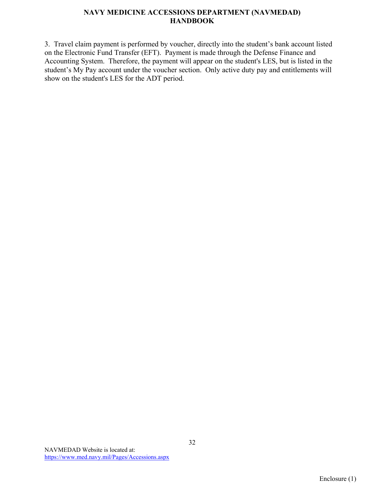3. Travel claim payment is performed by voucher, directly into the student's bank account listed on the Electronic Fund Transfer (EFT). Payment is made through the Defense Finance and Accounting System. Therefore, the payment will appear on the student's LES, but is listed in the student's My Pay account under the voucher section. Only active duty pay and entitlements will show on the student's LES for the ADT period.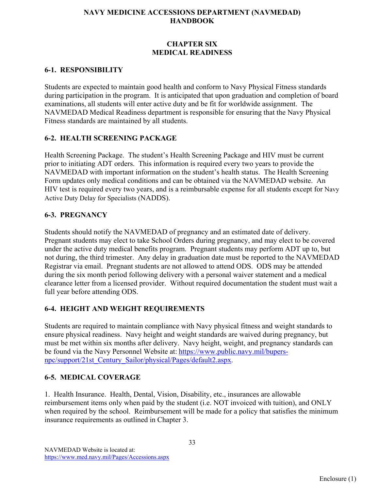### **CHAPTER SIX MEDICAL READINESS**

### **6-1. RESPONSIBILITY**

Students are expected to maintain good health and conform to Navy Physical Fitness standards during participation in the program. It is anticipated that upon graduation and completion of board examinations, all students will enter active duty and be fit for worldwide assignment. The NAVMEDAD Medical Readiness department is responsible for ensuring that the Navy Physical Fitness standards are maintained by all students.

# **6-2. HEALTH SCREENING PACKAGE**

Health Screening Package. The student's Health Screening Package and HIV must be current prior to initiating ADT orders. This information is required every two years to provide the NAVMEDAD with important information on the student's health status. The Health Screening Form updates only medical conditions and can be obtained via the NAVMEDAD website. An HIV test is required every two years, and is a reimbursable expense for all students except for Navy Active Duty Delay for Specialists (NADDS).

#### **6-3. PREGNANCY**

Students should notify the NAVMEDAD of pregnancy and an estimated date of delivery. Pregnant students may elect to take School Orders during pregnancy, and may elect to be covered under the active duty medical benefits program. Pregnant students may perform ADT up to, but not during, the third trimester. Any delay in graduation date must be reported to the NAVMEDAD Registrar via email. Pregnant students are not allowed to attend ODS. ODS may be attended during the six month period following delivery with a personal waiver statement and a medical clearance letter from a licensed provider. Without required documentation the student must wait a full year before attending ODS.

# **6-4. HEIGHT AND WEIGHT REQUIREMENTS**

Students are required to maintain compliance with Navy physical fitness and weight standards to ensure physical readiness. Navy height and weight standards are waived during pregnancy, but must be met within six months after delivery. Navy height, weight, and pregnancy standards can be found via the Navy Personnel Website at: [https://www.public.navy.mil/bupers](https://www.public.navy.mil/bupers-npc/support/21st_Century_Sailor/physical/Pages/default2.aspx)[npc/support/21st\\_Century\\_Sailor/physical/Pages/default2.aspx.](https://www.public.navy.mil/bupers-npc/support/21st_Century_Sailor/physical/Pages/default2.aspx)

# **6-5. MEDICAL COVERAGE**

1. Health Insurance. Health, Dental, Vision, Disability, etc., insurances are allowable reimbursement items only when paid by the student (i.e. NOT invoiced with tuition), and ONLY when required by the school. Reimbursement will be made for a policy that satisfies the minimum insurance requirements as outlined in Chapter 3.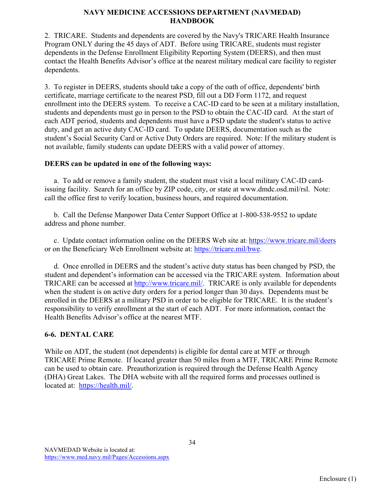2. TRICARE. Students and dependents are covered by the Navy's TRICARE Health Insurance Program ONLY during the 45 days of ADT. Before using TRICARE, students must register dependents in the Defense Enrollment Eligibility Reporting System (DEERS), and then must contact the Health Benefits Advisor's office at the nearest military medical care facility to register dependents.

3. To register in DEERS, students should take a copy of the oath of office, dependents' birth certificate, marriage certificate to the nearest PSD, fill out a DD Form 1172, and request enrollment into the DEERS system. To receive a CAC-ID card to be seen at a military installation, students and dependents must go in person to the PSD to obtain the CAC-ID card. At the start of each ADT period, students and dependents must have a PSD update the student's status to active duty, and get an active duty CAC-ID card. To update DEERS, documentation such as the student's Social Security Card or Active Duty Orders are required. Note: If the military student is not available, family students can update DEERS with a valid power of attorney.

#### **DEERS can be updated in one of the following ways:**

 a. To add or remove a family student, the student must visit a local military CAC-ID cardissuing facility. Search for an office by ZIP code, city, or state at www.dmdc.osd.mil/rsl. Note: call the office first to verify location, business hours, and required documentation.

 b. Call the Defense Manpower Data Center Support Office at 1-800-538-9552 to update address and phone number.

 c. Update contact information online on the DEERS Web site at: <https://www.tricare.mil/deers> or on the Beneficiary Web Enrollment website at: [https://tricare.mil/bwe.](https://tricare.mil/bwe)

 d. Once enrolled in DEERS and the student's active duty status has been changed by PSD, the student and dependent's information can be accessed via the TRICARE system. Information about TRICARE can be accessed at [http://www.tricare.mil/.](http://www.tricare.mil/) TRICARE is only available for dependents when the student is on active duty orders for a period longer than 30 days. Dependents must be enrolled in the DEERS at a military PSD in order to be eligible for TRICARE. It is the student's responsibility to verify enrollment at the start of each ADT. For more information, contact the Health Benefits Advisor's office at the nearest MTF.

# **6-6. DENTAL CARE**

While on ADT, the student (not dependents) is eligible for dental care at MTF or through TRICARE Prime Remote. If located greater than 50 miles from a MTF, TRICARE Prime Remote can be used to obtain care. Preauthorization is required through the Defense Health Agency (DHA) Great Lakes. The DHA website with all the required forms and processes outlined is located at: [https://health.mil/.](https://health.mil/)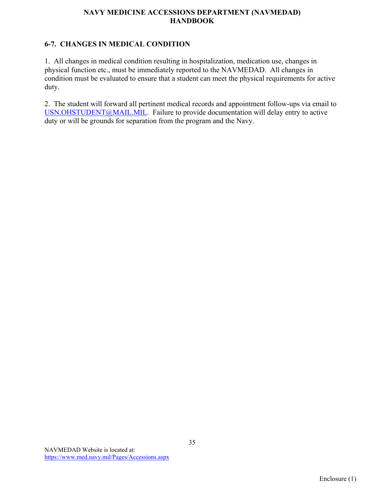# **6-7. CHANGES IN MEDICAL CONDITION**

1. All changes in medical condition resulting in hospitalization, medication use, changes in physical function etc., must be immediately reported to the NAVMEDAD. All changes in condition must be evaluated to ensure that a student can meet the physical requirements for active duty.

2. The student will forward all pertinent medical records and appointment follow-ups via email to USN.OHSTUDENT@MAIL.MIL. Failure to provide documentation will delay entry to active duty or will be grounds for separation from the program and the Navy.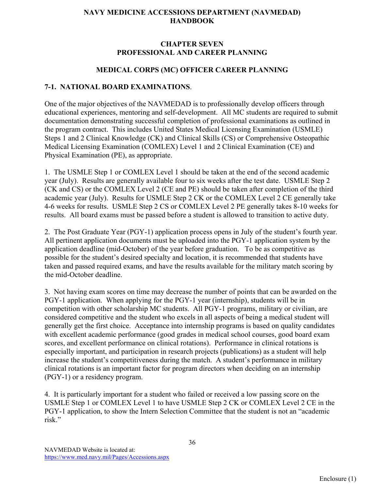# **CHAPTER SEVEN PROFESSIONAL AND CAREER PLANNING**

### **MEDICAL CORPS (MC) OFFICER CAREER PLANNING**

#### **7-1. NATIONAL BOARD EXAMINATIONS**.

One of the major objectives of the NAVMEDAD is to professionally develop officers through educational experiences, mentoring and self-development. All MC students are required to submit documentation demonstrating successful completion of professional examinations as outlined in the program contract. This includes United States Medical Licensing Examination (USMLE) Steps 1 and 2 Clinical Knowledge (CK) and Clinical Skills (CS) or Comprehensive Osteopathic Medical Licensing Examination (COMLEX) Level 1 and 2 Clinical Examination (CE) and Physical Examination (PE), as appropriate.

1. The USMLE Step 1 or COMLEX Level 1 should be taken at the end of the second academic year (July). Results are generally available four to six weeks after the test date. USMLE Step 2 (CK and CS) or the COMLEX Level 2 (CE and PE) should be taken after completion of the third academic year (July). Results for USMLE Step 2 CK or the COMLEX Level 2 CE generally take 4-6 weeks for results. USMLE Step 2 CS or COMLEX Level 2 PE generally takes 8-10 weeks for results. All board exams must be passed before a student is allowed to transition to active duty.

2. The Post Graduate Year (PGY-1) application process opens in July of the student's fourth year. All pertinent application documents must be uploaded into the PGY-1 application system by the application deadline (mid-October) of the year before graduation. To be as competitive as possible for the student's desired specialty and location, it is recommended that students have taken and passed required exams, and have the results available for the military match scoring by the mid-October deadline.

3. Not having exam scores on time may decrease the number of points that can be awarded on the PGY-1 application. When applying for the PGY-1 year (internship), students will be in competition with other scholarship MC students. All PGY-1 programs, military or civilian, are considered competitive and the student who excels in all aspects of being a medical student will generally get the first choice. Acceptance into internship programs is based on quality candidates with excellent academic performance (good grades in medical school courses, good board exam scores, and excellent performance on clinical rotations). Performance in clinical rotations is especially important, and participation in research projects (publications) as a student will help increase the student's competitiveness during the match. A student's performance in military clinical rotations is an important factor for program directors when deciding on an internship (PGY-1) or a residency program.

4. It is particularly important for a student who failed or received a low passing score on the USMLE Step 1 or COMLEX Level 1 to have USMLE Step 2 CK or COMLEX Level 2 CE in the PGY-1 application, to show the Intern Selection Committee that the student is not an "academic risk."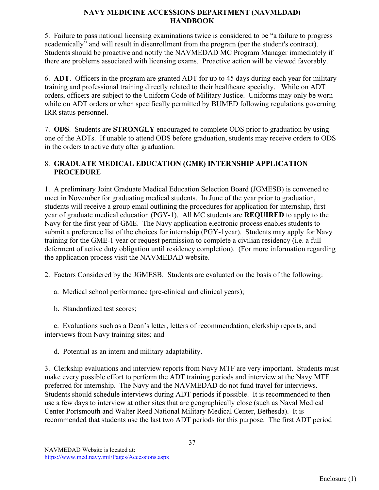5. Failure to pass national licensing examinations twice is considered to be "a failure to progress academically" and will result in disenrollment from the program (per the student's contract). Students should be proactive and notify the NAVMEDAD MC Program Manager immediately if there are problems associated with licensing exams. Proactive action will be viewed favorably.

6. **ADT**. Officers in the program are granted ADT for up to 45 days during each year for military training and professional training directly related to their healthcare specialty. While on ADT orders, officers are subject to the Uniform Code of Military Justice. Uniforms may only be worn while on ADT orders or when specifically permitted by BUMED following regulations governing IRR status personnel.

7. **ODS**. Students are **STRONGLY** encouraged to complete ODS prior to graduation by using one of the ADTs. If unable to attend ODS before graduation, students may receive orders to ODS in the orders to active duty after graduation.

# 8. **GRADUATE MEDICAL EDUCATION (GME) INTERNSHIP APPLICATION PROCEDURE**

1. A preliminary Joint Graduate Medical Education Selection Board (JGMESB) is convened to meet in November for graduating medical students. In June of the year prior to graduation, students will receive a group email outlining the procedures for application for internship, first year of graduate medical education (PGY-1). All MC students are **REQUIRED** to apply to the Navy for the first year of GME. The Navy application electronic process enables students to submit a preference list of the choices for internship (PGY-1year). Students may apply for Navy training for the GME-1 year or request permission to complete a civilian residency (i.e. a full deferment of active duty obligation until residency completion). (For more information regarding the application process visit the NAVMEDAD website.

2. Factors Considered by the JGMESB. Students are evaluated on the basis of the following:

a. Medical school performance (pre-clinical and clinical years);

b. Standardized test scores;

 c. Evaluations such as a Dean's letter, letters of recommendation, clerkship reports, and interviews from Navy training sites; and

d. Potential as an intern and military adaptability.

3. Clerkship evaluations and interview reports from Navy MTF are very important. Students must make every possible effort to perform the ADT training periods and interview at the Navy MTF preferred for internship. The Navy and the NAVMEDAD do not fund travel for interviews. Students should schedule interviews during ADT periods if possible. It is recommended to then use a few days to interview at other sites that are geographically close (such as Naval Medical Center Portsmouth and Walter Reed National Military Medical Center, Bethesda). It is recommended that students use the last two ADT periods for this purpose. The first ADT period

37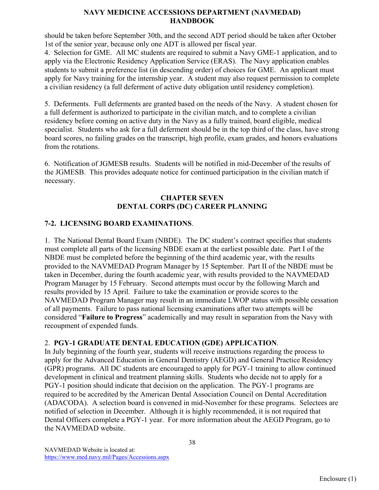should be taken before September 30th, and the second ADT period should be taken after October 1st of the senior year, because only one ADT is allowed per fiscal year.

4. Selection for GME. All MC students are required to submit a Navy GME-1 application, and to apply via the Electronic Residency Application Service (ERAS). The Navy application enables students to submit a preference list (in descending order) of choices for GME. An applicant must apply for Navy training for the internship year. A student may also request permission to complete a civilian residency (a full deferment of active duty obligation until residency completion).

5. Deferments. Full deferments are granted based on the needs of the Navy. A student chosen for a full deferment is authorized to participate in the civilian match, and to complete a civilian residency before coming on active duty in the Navy as a fully trained, board eligible, medical specialist. Students who ask for a full deferment should be in the top third of the class, have strong board scores, no failing grades on the transcript, high profile, exam grades, and honors evaluations from the rotations.

6. Notification of JGMESB results. Students will be notified in mid-December of the results of the JGMESB. This provides adequate notice for continued participation in the civilian match if necessary.

# **CHAPTER SEVEN DENTAL CORPS (DC) CAREER PLANNING**

# **7-2. LICENSING BOARD EXAMINATIONS**.

1. The National Dental Board Exam (NBDE). The DC student's contract specifies that students must complete all parts of the licensing NBDE exam at the earliest possible date. Part I of the NBDE must be completed before the beginning of the third academic year, with the results provided to the NAVMEDAD Program Manager by 15 September. Part II of the NBDE must be taken in December, during the fourth academic year, with results provided to the NAVMEDAD Program Manager by 15 February. Second attempts must occur by the following March and results provided by 15 April. Failure to take the examination or provide scores to the NAVMEDAD Program Manager may result in an immediate LWOP status with possible cessation of all payments. Failure to pass national licensing examinations after two attempts will be considered "**Failure to Progress**" academically and may result in separation from the Navy with recoupment of expended funds.

# 2. **PGY-1 GRADUATE DENTAL EDUCATION (GDE) APPLICATION**.

In July beginning of the fourth year, students will receive instructions regarding the process to apply for the Advanced Education in General Dentistry (AEGD) and General Practice Residency (GPR) programs. All DC students are encouraged to apply for PGY-1 training to allow continued development in clinical and treatment planning skills. Students who decide not to apply for a PGY-1 position should indicate that decision on the application. The PGY-1 programs are required to be accredited by the American Dental Association Council on Dental Accreditation (ADACODA). A selection board is convened in mid-November for these programs. Selectees are notified of selection in December. Although it is highly recommended, it is not required that Dental Officers complete a PGY-1 year. For more information about the AEGD Program, go to the NAVMEDAD website.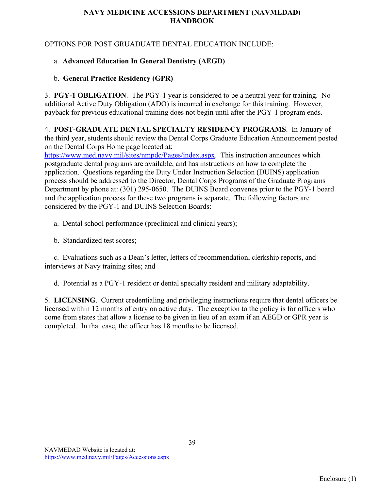OPTIONS FOR POST GRUADUATE DENTAL EDUCATION INCLUDE:

# a. **Advanced Education In General Dentistry (AEGD)**

# b. **General Practice Residency (GPR)**

3. **PGY-1 OBLIGATION**.The PGY-1 year is considered to be a neutral year for training. No additional Active Duty Obligation (ADO) is incurred in exchange for this training. However, payback for previous educational training does not begin until after the PGY-1 program ends.

4. **POST-GRADUATE DENTAL SPECIALTY RESIDENCY PROGRAMS**.In January of the third year, students should review the Dental Corps Graduate Education Announcement posted on the Dental Corps Home page located at:

[https://www.med.navy.mil/sites/nmpdc/Pages/index.aspx.](https://www.med.navy.mil/sites/nmpdc/Pages/index.aspx) This instruction announces which postgraduate dental programs are available, and has instructions on how to complete the application. Questions regarding the Duty Under Instruction Selection (DUINS) application process should be addressed to the Director, Dental Corps Programs of the Graduate Programs Department by phone at: (301) 295-0650. The DUINS Board convenes prior to the PGY-1 board and the application process for these two programs is separate. The following factors are considered by the PGY-1 and DUINS Selection Boards:

a. Dental school performance (preclinical and clinical years);

b. Standardized test scores;

 c. Evaluations such as a Dean's letter, letters of recommendation, clerkship reports, and interviews at Navy training sites; and

d. Potential as a PGY-1 resident or dental specialty resident and military adaptability.

5. **LICENSING**. Current credentialing and privileging instructions require that dental officers be licensed within 12 months of entry on active duty. The exception to the policy is for officers who come from states that allow a license to be given in lieu of an exam if an AEGD or GPR year is completed. In that case, the officer has 18 months to be licensed.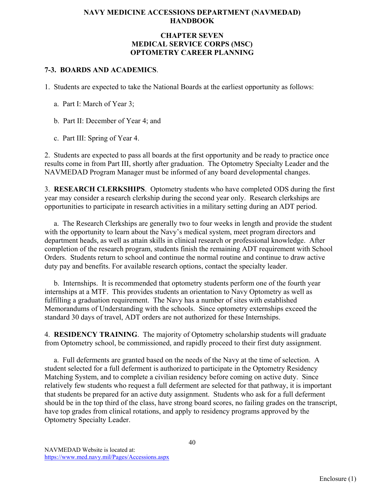#### **CHAPTER SEVEN MEDICAL SERVICE CORPS (MSC) OPTOMETRY CAREER PLANNING**

# **7-3. BOARDS AND ACADEMICS**.

1. Students are expected to take the National Boards at the earliest opportunity as follows:

a. Part I: March of Year 3;

b. Part II: December of Year 4; and

c. Part III: Spring of Year 4.

2. Students are expected to pass all boards at the first opportunity and be ready to practice once results come in from Part III, shortly after graduation. The Optometry Specialty Leader and the NAVMEDAD Program Manager must be informed of any board developmental changes.

3. **RESEARCH CLERKSHIPS**. Optometry students who have completed ODS during the first year may consider a research clerkship during the second year only. Research clerkships are opportunities to participate in research activities in a military setting during an ADT period.

 a. The Research Clerkships are generally two to four weeks in length and provide the student with the opportunity to learn about the Navy's medical system, meet program directors and department heads, as well as attain skills in clinical research or professional knowledge. After completion of the research program, students finish the remaining ADT requirement with School Orders. Students return to school and continue the normal routine and continue to draw active duty pay and benefits. For available research options, contact the specialty leader.

 b. Internships. It is recommended that optometry students perform one of the fourth year internships at a MTF. This provides students an orientation to Navy Optometry as well as fulfilling a graduation requirement. The Navy has a number of sites with established Memorandums of Understanding with the schools. Since optometry externships exceed the standard 30 days of travel, ADT orders are not authorized for these Internships.

4. **RESIDENCY TRAINING**. The majority of Optometry scholarship students will graduate from Optometry school, be commissioned, and rapidly proceed to their first duty assignment.

 a. Full deferments are granted based on the needs of the Navy at the time of selection. A student selected for a full deferment is authorized to participate in the Optometry Residency Matching System, and to complete a civilian residency before coming on active duty. Since relatively few students who request a full deferment are selected for that pathway, it is important that students be prepared for an active duty assignment. Students who ask for a full deferment should be in the top third of the class, have strong board scores, no failing grades on the transcript, have top grades from clinical rotations, and apply to residency programs approved by the Optometry Specialty Leader.

40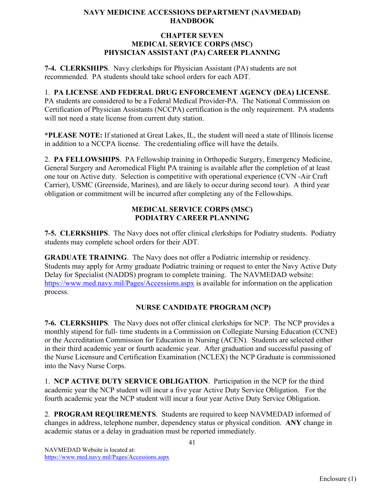#### **CHAPTER SEVEN MEDICAL SERVICE CORPS (MSC) PHYSICIAN ASSISTANT (PA) CAREER PLANNING**

**7-4. CLERKSHIPS**. Navy clerkships for Physician Assistant (PA) students are not recommended. PA students should take school orders for each ADT.

# 1. **PA LICENSE AND FEDERAL DRUG ENFORCEMENT AGENCY (DEA) LICENSE**.

PA students are considered to be a Federal Medical Provider-PA. The National Commission on Certification of Physician Assistants (NCCPA) certification is the only requirement. PA students will not need a state license from current duty station.

**\*PLEASE NOTE:** If stationed at Great Lakes, IL, the student will need a state of Illinois license in addition to a NCCPA license. The credentialing office will have the details.

2. **PA FELLOWSHIPS**. PA Fellowship training in Orthopedic Surgery, Emergency Medicine, General Surgery and Aeromedical Flight PA training is available after the completion of at least one tour on Active duty. Selection is competitive with operational experience (CVN -Air Craft Carrier), USMC (Greenside, Marines), and are likely to occur during second tour). A third year obligation or commitment will be incurred after completing any of the Fellowships.

# **MEDICAL SERVICE CORPS (MSC) PODIATRY CAREER PLANNING**

**7-5. CLERKSHIPS**. The Navy does not offer clinical clerkships for Podiatry students. Podiatry students may complete school orders for their ADT.

**GRADUATE TRAINING**. The Navy does not offer a Podiatric internship or residency. Students may apply for Army graduate Podiatric training or request to enter the Navy Active Duty Delay for Specialist (NADDS) program to complete training. The NAVMEDAD website: <https://www.med.navy.mil/Pages/Accessions.aspx> is available for information on the application process.

# **NURSE CANDIDATE PROGRAM (NCP)**

**7-6. CLERKSHIPS**. The Navy does not offer clinical clerkships for NCP. The NCP provides a monthly stipend for full- time students in a Commission on Collegiate Nursing Education (CCNE) or the Accreditation Commission for Education in Nursing (ACEN). Students are selected either in their third academic year or fourth academic year. After graduation and successful passing of the Nurse Licensure and Certification Examination (NCLEX) the NCP Graduate is commissioned into the Navy Nurse Corps.

1. **NCP ACTIVE DUTY SERVICE OBLIGATION**. Participation in the NCP for the third academic year the NCP student will incur a five year Active Duty Service Obligation. For the fourth academic year the NCP student will incur a four year Active Duty Service Obligation.

2. **PROGRAM REQUIREMENTS**. Students are required to keep NAVMEDAD informed of changes in address, telephone number, dependency status or physical condition. **ANY** change in academic status or a delay in graduation must be reported immediately.

41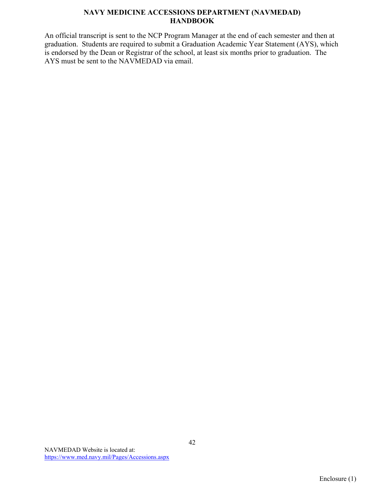An official transcript is sent to the NCP Program Manager at the end of each semester and then at graduation. Students are required to submit a Graduation Academic Year Statement (AYS), which is endorsed by the Dean or Registrar of the school, at least six months prior to graduation. The AYS must be sent to the NAVMEDAD via email.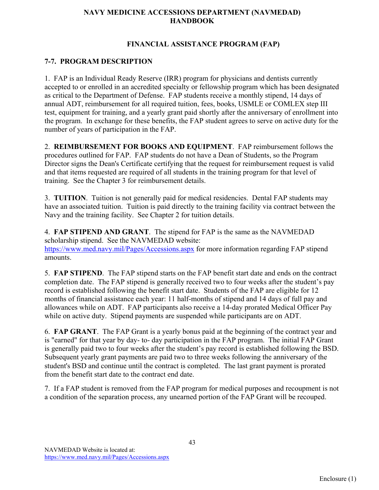#### **FINANCIAL ASSISTANCE PROGRAM (FAP)**

# **7-7. PROGRAM DESCRIPTION**

1. FAP is an Individual Ready Reserve (IRR) program for physicians and dentists currently accepted to or enrolled in an accredited specialty or fellowship program which has been designated as critical to the Department of Defense. FAP students receive a monthly stipend, 14 days of annual ADT, reimbursement for all required tuition, fees, books, USMLE or COMLEX step III test, equipment for training, and a yearly grant paid shortly after the anniversary of enrollment into the program. In exchange for these benefits, the FAP student agrees to serve on active duty for the number of years of participation in the FAP.

2. **REIMBURSEMENT FOR BOOKS AND EQUIPMENT**. FAP reimbursement follows the procedures outlined for FAP. FAP students do not have a Dean of Students, so the Program Director signs the Dean's Certificate certifying that the request for reimbursement request is valid and that items requested are required of all students in the training program for that level of training. See the Chapter 3 for reimbursement details.

3. **TUITION**. Tuition is not generally paid for medical residencies. Dental FAP students may have an associated tuition. Tuition is paid directly to the training facility via contract between the Navy and the training facility. See Chapter 2 for tuition details.

4. **FAP STIPEND AND GRANT**. The stipend for FAP is the same as the NAVMEDAD scholarship stipend. See the NAVMEDAD website: <https://www.med.navy.mil/Pages/Accessions.aspx> for more information regarding FAP stipend amounts.

5. **FAP STIPEND**. The FAP stipend starts on the FAP benefit start date and ends on the contract completion date. The FAP stipend is generally received two to four weeks after the student's pay record is established following the benefit start date. Students of the FAP are eligible for 12 months of financial assistance each year: 11 half-months of stipend and 14 days of full pay and allowances while on ADT. FAP participants also receive a 14-day prorated Medical Officer Pay while on active duty. Stipend payments are suspended while participants are on ADT.

6. **FAP GRANT**. The FAP Grant is a yearly bonus paid at the beginning of the contract year and is "earned" for that year by day- to- day participation in the FAP program. The initial FAP Grant is generally paid two to four weeks after the student's pay record is established following the BSD. Subsequent yearly grant payments are paid two to three weeks following the anniversary of the student's BSD and continue until the contract is completed. The last grant payment is prorated from the benefit start date to the contract end date.

7. If a FAP student is removed from the FAP program for medical purposes and recoupment is not a condition of the separation process, any unearned portion of the FAP Grant will be recouped.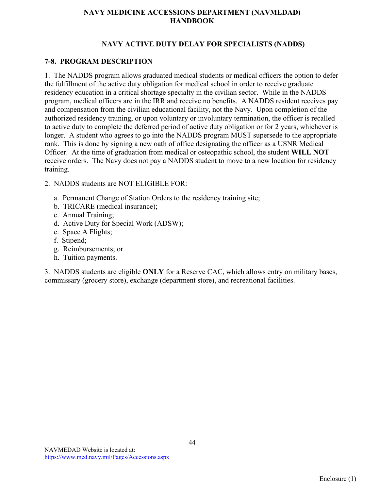# **NAVY ACTIVE DUTY DELAY FOR SPECIALISTS (NADDS)**

## **7-8. PROGRAM DESCRIPTION**

1. The NADDS program allows graduated medical students or medical officers the option to defer the fulfillment of the active duty obligation for medical school in order to receive graduate residency education in a critical shortage specialty in the civilian sector. While in the NADDS program, medical officers are in the IRR and receive no benefits. A NADDS resident receives pay and compensation from the civilian educational facility, not the Navy. Upon completion of the authorized residency training, or upon voluntary or involuntary termination, the officer is recalled to active duty to complete the deferred period of active duty obligation or for 2 years, whichever is longer. A student who agrees to go into the NADDS program MUST supersede to the appropriate rank. This is done by signing a new oath of office designating the officer as a USNR Medical Officer. At the time of graduation from medical or osteopathic school, the student **WILL NOT** receive orders. The Navy does not pay a NADDS student to move to a new location for residency training.

- 2. NADDS students are NOT ELIGIBLE FOR:
	- a. Permanent Change of Station Orders to the residency training site;
	- b. TRICARE (medical insurance);
	- c. Annual Training;
	- d. Active Duty for Special Work (ADSW);
	- e. Space A Flights;
	- f. Stipend;
	- g. Reimbursements; or
	- h. Tuition payments.

3. NADDS students are eligible **ONLY** for a Reserve CAC, which allows entry on military bases, commissary (grocery store), exchange (department store), and recreational facilities.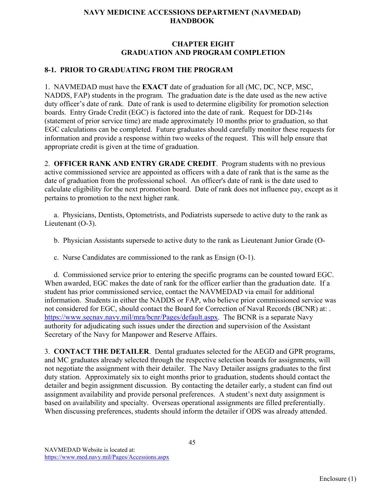## **CHAPTER EIGHT GRADUATION AND PROGRAM COMPLETION**

# **8-1. PRIOR TO GRADUATING FROM THE PROGRAM**

1. NAVMEDAD must have the **EXACT** date of graduation for all (MC, DC, NCP, MSC, NADDS, FAP) students in the program. The graduation date is the date used as the new active duty officer's date of rank. Date of rank is used to determine eligibility for promotion selection boards. Entry Grade Credit (EGC) is factored into the date of rank. Request for DD-214s (statement of prior service time) are made approximately 10 months prior to graduation, so that EGC calculations can be completed. Future graduates should carefully monitor these requests for information and provide a response within two weeks of the request. This will help ensure that appropriate credit is given at the time of graduation.

2. **OFFICER RANK AND ENTRY GRADE CREDIT**.Program students with no previous active commissioned service are appointed as officers with a date of rank that is the same as the date of graduation from the professional school. An officer's date of rank is the date used to calculate eligibility for the next promotion board. Date of rank does not influence pay, except as it pertains to promotion to the next higher rank.

 a. Physicians, Dentists, Optometrists, and Podiatrists supersede to active duty to the rank as Lieutenant (O-3).

b. Physician Assistants supersede to active duty to the rank as Lieutenant Junior Grade (O-

c. Nurse Candidates are commissioned to the rank as Ensign (O-1).

 d. Commissioned service prior to entering the specific programs can be counted toward EGC. When awarded, EGC makes the date of rank for the officer earlier than the graduation date. If a student has prior commissioned service, contact the NAVMEDAD via email for additional information. Students in either the NADDS or FAP, who believe prior commissioned service was not considered for EGC, should contact the Board for Correction of Naval Records (BCNR) at: . [https://www.secnav.navy.mil/mra/bcnr/Pages/default.aspx.](https://www.secnav.navy.mil/mra/bcnr/Pages/default.aspx) The BCNR is a separate Navy authority for adjudicating such issues under the direction and supervision of the Assistant Secretary of the Navy for Manpower and Reserve Affairs.

3. **CONTACT THE DETAILER**. Dental graduates selected for the AEGD and GPR programs, and MC graduates already selected through the respective selection boards for assignments, will not negotiate the assignment with their detailer. The Navy Detailer assigns graduates to the first duty station. Approximately six to eight months prior to graduation, students should contact the detailer and begin assignment discussion. By contacting the detailer early, a student can find out assignment availability and provide personal preferences. A student's next duty assignment is based on availability and specialty. Overseas operational assignments are filled preferentially. When discussing preferences, students should inform the detailer if ODS was already attended.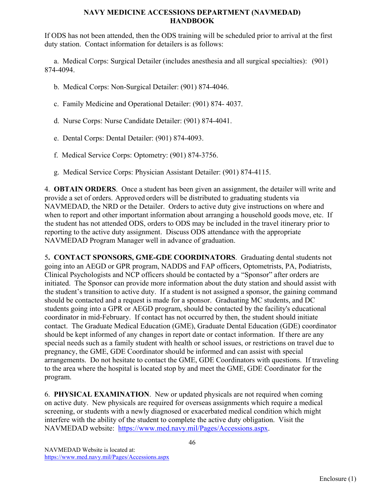If ODS has not been attended, then the ODS training will be scheduled prior to arrival at the first duty station. Contact information for detailers is as follows:

 a. Medical Corps: Surgical Detailer (includes anesthesia and all surgical specialties): (901) 874-4094.

- b. Medical Corps: Non-Surgical Detailer: (901) 874-4046.
- c. Family Medicine and Operational Detailer: (901) 874- 4037.
- d. Nurse Corps: Nurse Candidate Detailer: (901) 874-4041.
- e. Dental Corps: Dental Detailer: (901) 874-4093.
- f. Medical Service Corps: Optometry: (901) 874-3756.
- g. Medical Service Corps: Physician Assistant Detailer: (901) 874-4115.

4. **OBTAIN ORDERS**. Once a student has been given an assignment, the detailer will write and provide a set of orders. Approved orders will be distributed to graduating students via NAVMEDAD, the NRD or the Detailer. Orders to active duty give instructions on where and when to report and other important information about arranging a household goods move, etc. If the student has not attended ODS, orders to ODS may be included in the travel itinerary prior to reporting to the active duty assignment. Discuss ODS attendance with the appropriate NAVMEDAD Program Manager well in advance of graduation.

5**. CONTACT SPONSORS, GME-GDE COORDINATORS**. Graduating dental students not going into an AEGD or GPR program, NADDS and FAP officers, Optometrists, PA, Podiatrists, Clinical Psychologists and NCP officers should be contacted by a "Sponsor" after orders are initiated. The Sponsor can provide more information about the duty station and should assist with the student's transition to active duty. If a student is not assigned a sponsor, the gaining command should be contacted and a request is made for a sponsor. Graduating MC students, and DC students going into a GPR or AEGD program, should be contacted by the facility's educational coordinator in mid-February. If contact has not occurred by then, the student should initiate contact. The Graduate Medical Education (GME), Graduate Dental Education (GDE) coordinator should be kept informed of any changes in report date or contact information. If there are any special needs such as a family student with health or school issues, or restrictions on travel due to pregnancy, the GME, GDE Coordinator should be informed and can assist with special arrangements. Do not hesitate to contact the GME, GDE Coordinators with questions. If traveling to the area where the hospital is located stop by and meet the GME, GDE Coordinator for the program.

6. **PHYSICAL EXAMINATION**. New or updated physicals are not required when coming on active duty. New physicals are required for overseas assignments which require a medical screening, or students with a newly diagnosed or exacerbated medical condition which might interfere with the ability of the student to complete the active duty obligation. Visit the NAVMEDAD website: [https://www.med.navy.mil/Pages/Accessions.aspx.](https://www.med.navy.mil/Pages/Accessions.aspx)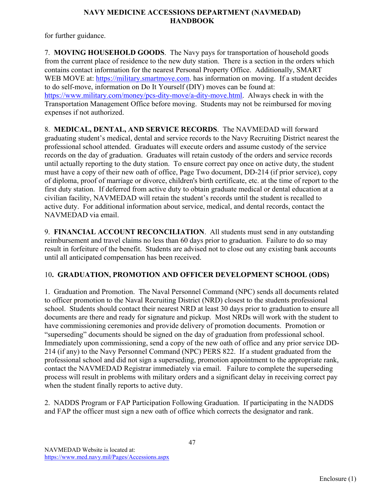for further guidance.

7. **MOVING HOUSEHOLD GOODS**. The Navy pays for transportation of household goods from the current place of residence to the new duty station. There is a section in the orders which contains contact information for the nearest Personal Property Office. Additionally, SMART WEB MOVE at: [https://military.smartmove.com.](https://military.smartmove.com/) has information on moving. If a student decides to do self-move, information on Do It Yourself (DIY) moves can be found at: [https://www.military.com/money/pcs-dity-move/a-dity-move.html.](https://www.military.com/money/pcs-dity-move/a-dity-move.html) Always check in with the Transportation Management Office before moving. Students may not be reimbursed for moving expenses if not authorized.

8. **MEDICAL, DENTAL, AND SERVICE RECORDS**. The NAVMEDAD will forward graduating student's medical, dental and service records to the Navy Recruiting District nearest the professional school attended. Graduates will execute orders and assume custody of the service records on the day of graduation. Graduates will retain custody of the orders and service records until actually reporting to the duty station. To ensure correct pay once on active duty, the student must have a copy of their new oath of office, Page Two document, DD-214 (if prior service), copy of diploma, proof of marriage or divorce, children's birth certificate, etc. at the time of report to the first duty station. If deferred from active duty to obtain graduate medical or dental education at a civilian facility, NAVMEDAD will retain the student's records until the student is recalled to active duty. For additional information about service, medical, and dental records, contact the NAVMEDAD via email.

9. **FINANCIAL ACCOUNT RECONCILIATION**. All students must send in any outstanding reimbursement and travel claims no less than 60 days prior to graduation. Failure to do so may result in forfeiture of the benefit. Students are advised not to close out any existing bank accounts until all anticipated compensation has been received.

# 10**. GRADUATION, PROMOTION AND OFFICER DEVELOPMENT SCHOOL (ODS)**

1. Graduation and Promotion. The Naval Personnel Command (NPC) sends all documents related to officer promotion to the Naval Recruiting District (NRD) closest to the students professional school. Students should contact their nearest NRD at least 30 days prior to graduation to ensure all documents are there and ready for signature and pickup. Most NRDs will work with the student to have commissioning ceremonies and provide delivery of promotion documents. Promotion or "superseding" documents should be signed on the day of graduation from professional school. Immediately upon commissioning, send a copy of the new oath of office and any prior service DD-214 (if any) to the Navy Personnel Command (NPC) PERS 822. If a student graduated from the professional school and did not sign a superseding, promotion appointment to the appropriate rank, contact the NAVMEDAD Registrar immediately via email. Failure to complete the superseding process will result in problems with military orders and a significant delay in receiving correct pay when the student finally reports to active duty.

2. NADDS Program or FAP Participation Following Graduation. If participating in the NADDS and FAP the officer must sign a new oath of office which corrects the designator and rank.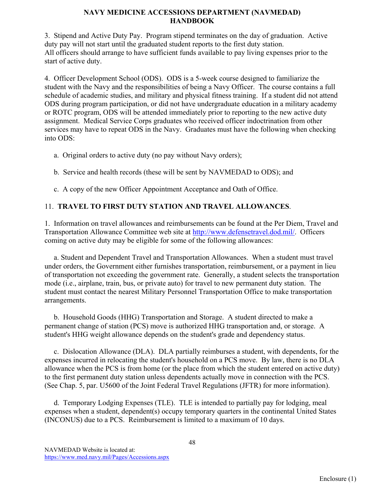3. Stipend and Active Duty Pay. Program stipend terminates on the day of graduation. Active duty pay will not start until the graduated student reports to the first duty station. All officers should arrange to have sufficient funds available to pay living expenses prior to the start of active duty.

4. Officer Development School (ODS). ODS is a 5-week course designed to familiarize the student with the Navy and the responsibilities of being a Navy Officer. The course contains a full schedule of academic studies, and military and physical fitness training. If a student did not attend ODS during program participation, or did not have undergraduate education in a military academy or ROTC program, ODS will be attended immediately prior to reporting to the new active duty assignment. Medical Service Corps graduates who received officer indoctrination from other services may have to repeat ODS in the Navy. Graduates must have the following when checking into ODS:

- a. Original orders to active duty (no pay without Navy orders);
- b. Service and health records (these will be sent by NAVMEDAD to ODS); and
- c. A copy of the new Officer Appointment Acceptance and Oath of Office.

# 11. **TRAVEL TO FIRST DUTY STATION AND TRAVEL ALLOWANCES**.

1. Information on travel allowances and reimbursements can be found at the Per Diem, Travel and Transportation Allowance Committee web site at [http://www.defensetravel.dod.mil/.](http://www.defensetravel.dod.mil/) Officers coming on active duty may be eligible for some of the following allowances:

 a. Student and Dependent Travel and Transportation Allowances. When a student must travel under orders, the Government either furnishes transportation, reimbursement, or a payment in lieu of transportation not exceeding the government rate. Generally, a student selects the transportation mode (i.e., airplane, train, bus, or private auto) for travel to new permanent duty station. The student must contact the nearest Military Personnel Transportation Office to make transportation arrangements.

 b. Household Goods (HHG) Transportation and Storage. A student directed to make a permanent change of station (PCS) move is authorized HHG transportation and, or storage. A student's HHG weight allowance depends on the student's grade and dependency status.

 c. Dislocation Allowance (DLA). DLA partially reimburses a student, with dependents, for the expenses incurred in relocating the student's household on a PCS move. By law, there is no DLA allowance when the PCS is from home (or the place from which the student entered on active duty) to the first permanent duty station unless dependents actually move in connection with the PCS. (See Chap. 5, par. U5600 of the Joint Federal Travel Regulations (JFTR) for more information).

 d. Temporary Lodging Expenses (TLE). TLE is intended to partially pay for lodging, meal expenses when a student, dependent(s) occupy temporary quarters in the continental United States (INCONUS) due to a PCS. Reimbursement is limited to a maximum of 10 days.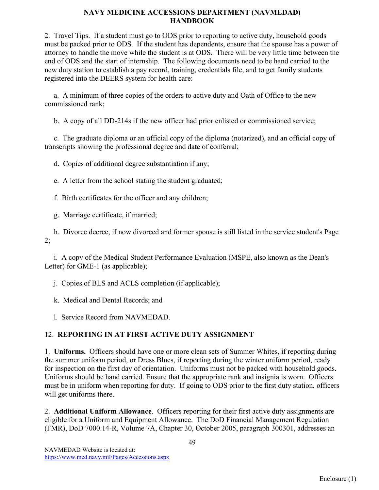2. Travel Tips. If a student must go to ODS prior to reporting to active duty, household goods must be packed prior to ODS. If the student has dependents, ensure that the spouse has a power of attorney to handle the move while the student is at ODS. There will be very little time between the end of ODS and the start of internship. The following documents need to be hand carried to the new duty station to establish a pay record, training, credentials file, and to get family students registered into the DEERS system for health care:

 a. A minimum of three copies of the orders to active duty and Oath of Office to the new commissioned rank;

b. A copy of all DD-214s if the new officer had prior enlisted or commissioned service;

 c. The graduate diploma or an official copy of the diploma (notarized), and an official copy of transcripts showing the professional degree and date of conferral;

d. Copies of additional degree substantiation if any;

e. A letter from the school stating the student graduated;

f. Birth certificates for the officer and any children;

g. Marriage certificate, if married;

 h. Divorce decree, if now divorced and former spouse is still listed in the service student's Page 2;

 i. A copy of the Medical Student Performance Evaluation (MSPE, also known as the Dean's Letter) for GME-1 (as applicable);

j. Copies of BLS and ACLS completion (if applicable);

k. Medical and Dental Records; and

l. Service Record from NAVMEDAD.

# 12. **REPORTING IN AT FIRST ACTIVE DUTY ASSIGNMENT**

1. **Uniforms.** Officers should have one or more clean sets of Summer Whites, if reporting during the summer uniform period, or Dress Blues, if reporting during the winter uniform period, ready for inspection on the first day of orientation. Uniforms must not be packed with household goods. Uniforms should be hand carried. Ensure that the appropriate rank and insignia is worn. Officers must be in uniform when reporting for duty. If going to ODS prior to the first duty station, officers will get uniforms there.

2. **Additional Uniform Allowance**. Officers reporting for their first active duty assignments are eligible for a Uniform and Equipment Allowance. The DoD Financial Management Regulation (FMR), DoD 7000.14-R, Volume 7A, Chapter 30, October 2005, paragraph 300301, addresses an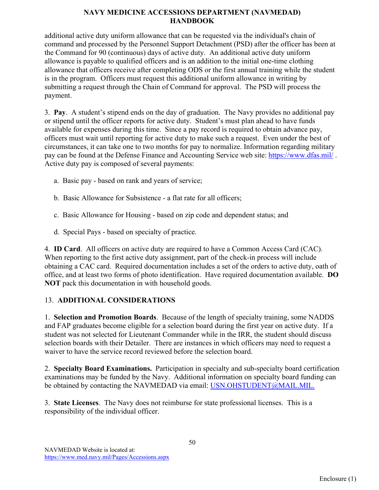additional active duty uniform allowance that can be requested via the individual's chain of command and processed by the Personnel Support Detachment (PSD) after the officer has been at the Command for 90 (continuous) days of active duty. An additional active duty uniform allowance is payable to qualified officers and is an addition to the initial one-time clothing allowance that officers receive after completing ODS or the first annual training while the student is in the program. Officers must request this additional uniform allowance in writing by submitting a request through the Chain of Command for approval. The PSD will process the payment.

3. **Pay**. A student's stipend ends on the day of graduation. The Navy provides no additional pay or stipend until the officer reports for active duty. Student's must plan ahead to have funds available for expenses during this time. Since a pay record is required to obtain advance pay, officers must wait until reporting for active duty to make such a request. Even under the best of circumstances, it can take one to two months for pay to normalize. Information regarding military pay can be found at the Defense Finance and Accounting Service web site: <https://www.dfas.mil/> . Active duty pay is composed of several payments:

- a. Basic pay based on rank and years of service;
- b. Basic Allowance for Subsistence a flat rate for all officers;
- c. Basic Allowance for Housing based on zip code and dependent status; and
- d. Special Pays based on specialty of practice.

4. **ID Card**. All officers on active duty are required to have a Common Access Card (CAC). When reporting to the first active duty assignment, part of the check-in process will include obtaining a CAC card. Required documentation includes a set of the orders to active duty, oath of office, and at least two forms of photo identification. Have required documentation available. **DO NOT** pack this documentation in with household goods.

# 13. **ADDITIONAL CONSIDERATIONS**

1. **Selection and Promotion Boards**. Because of the length of specialty training, some NADDS and FAP graduates become eligible for a selection board during the first year on active duty. If a student was not selected for Lieutenant Commander while in the IRR, the student should discuss selection boards with their Detailer. There are instances in which officers may need to request a waiver to have the service record reviewed before the selection board.

2. **Specialty Board Examinations.** Participation in specialty and sub-specialty board certification examinations may be funded by the Navy. Additional information on specialty board funding can be obtained by contacting the NAVMEDAD via email: [USN.OHSTUDENT@MAIL.MIL.](mailto:USN.OHSTUDENT@MAIL.MIL)

3. **State Licenses**. The Navy does not reimburse for state professional licenses. This is a responsibility of the individual officer.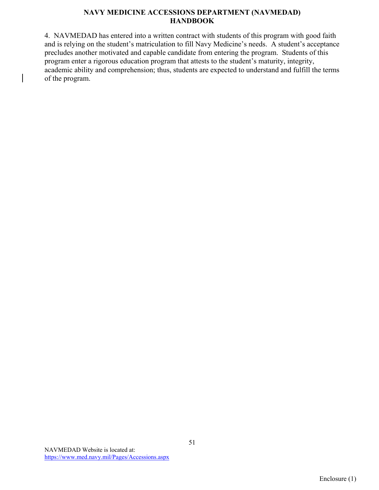4. NAVMEDAD has entered into a written contract with students of this program with good faith and is relying on the student's matriculation to fill Navy Medicine's needs. A student's acceptance precludes another motivated and capable candidate from entering the program. Students of this program enter a rigorous education program that attests to the student's maturity, integrity, academic ability and comprehension; thus, students are expected to understand and fulfill the terms of the program.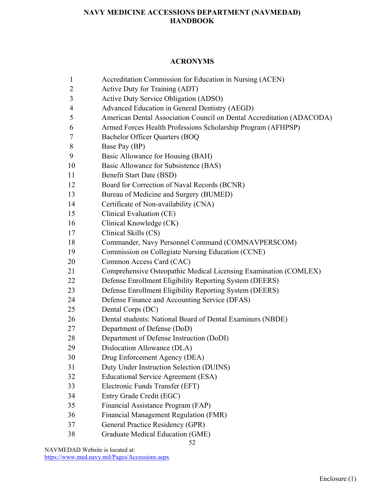#### **ACRONYMS**

- Accreditation Commission for Education in Nursing (ACEN)
- Active Duty for Training (ADT)
- Active Duty Service Obligation (ADSO)
- Advanced Education in General Dentistry (AEGD)
- American Dental Association Council on Dental Accreditation (ADACODA)
- Armed Forces Health Professions Scholarship Program (AFHPSP)
- Bachelor Officer Quarters (BOQ
- Base Pay (BP)
- Basic Allowance for Housing (BAH)
- 10 Basic Allowance for Subsistence (BAS)
- Benefit Start Date (BSD)
- Board for Correction of Naval Records (BCNR)
- Bureau of Medicine and Surgery (BUMED)
- Certificate of Non-availability (CNA)
- Clinical Evaluation (CE)
- Clinical Knowledge (CK)
- Clinical Skills (CS)
- Commander, Navy Personnel Command (COMNAVPERSCOM)
- Commission on Collegiate Nursing Education (CCNE)
- Common Access Card (CAC)
- Comprehensive Osteopathic Medical Licensing Examination (COMLEX)
- Defense Enrollment Eligibility Reporting System (DEERS)
- Defense Enrollment Eligibility Reporting System (DEERS)
- Defense Finance and Accounting Service (DFAS)
- Dental Corps (DC)
- Dental students: National Board of Dental Examiners (NBDE)
- Department of Defense (DoD)
- Department of Defense Instruction (DoDI)
- Dislocation Allowance (DLA)
- Drug Enforcement Agency (DEA)
- Duty Under Instruction Selection (DUINS)
- Educational Service Agreement (ESA)
- Electronic Funds Transfer (EFT)
- Entry Grade Credit (EGC)
- Financial Assistance Program (FAP)
- Financial Management Regulation (FMR)
- General Practice Residency (GPR)
- Graduate Medical Education (GME)

NAVMEDAD Website is located at: <https://www.med.navy.mil/Pages/Accessions.aspx>